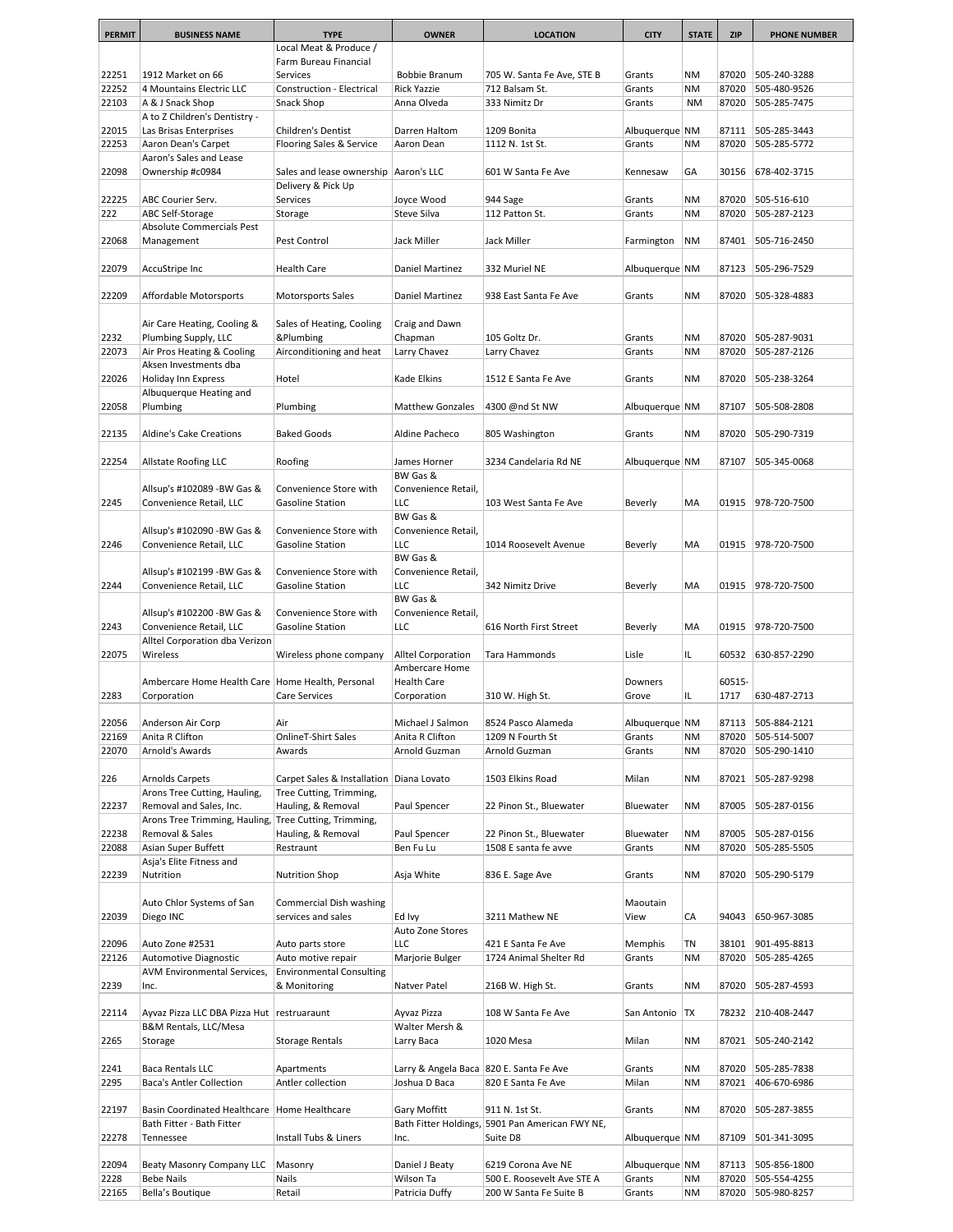| <b>PERMIT</b>  | <b>BUSINESS NAME</b>                               | <b>TYPE</b>                              | <b>OWNER</b>                              | <b>LOCATION</b>                        | <b>CITY</b>              | <b>STATE</b> | <b>ZIP</b>     | <b>PHONE NUMBER</b>          |
|----------------|----------------------------------------------------|------------------------------------------|-------------------------------------------|----------------------------------------|--------------------------|--------------|----------------|------------------------------|
|                |                                                    | Local Meat & Produce /                   |                                           |                                        |                          |              |                |                              |
|                |                                                    | Farm Bureau Financial                    |                                           |                                        |                          |              |                |                              |
| 22251          | 1912 Market on 66                                  | Services                                 | Bobbie Branum                             | 705 W. Santa Fe Ave, STE B             | Grants                   | <b>NM</b>    | 87020          | 505-240-3288                 |
| 22252          | 4 Mountains Electric LLC                           | Construction - Electrical                | <b>Rick Yazzie</b>                        | 712 Balsam St.                         | Grants                   | <b>NM</b>    | 87020          | 505-480-9526                 |
| 22103          | A & J Snack Shop                                   | Snack Shop                               | Anna Olveda                               | 333 Nimitz Dr                          | Grants                   | <b>NM</b>    | 87020          | 505-285-7475                 |
|                | A to Z Children's Dentistry -                      |                                          |                                           |                                        |                          |              |                |                              |
| 22015          | Las Brisas Enterprises                             | <b>Children's Dentist</b>                | Darren Haltom                             | 1209 Bonita                            | Albuquerque NM           |              | 87111          | 505-285-3443                 |
| 22253          | Aaron Dean's Carpet                                | Flooring Sales & Service                 | Aaron Dean                                | 1112 N. 1st St.                        | Grants                   | <b>NM</b>    | 87020          | 505-285-5772                 |
|                | Aaron's Sales and Lease                            |                                          |                                           |                                        |                          |              |                |                              |
| 22098          | Ownership #c0984                                   | Sales and lease ownership   Aaron's LLC  |                                           | 601 W Santa Fe Ave                     | Kennesaw                 | GA           | 30156          | 678-402-3715                 |
| 22225          | ABC Courier Serv.                                  | Delivery & Pick Up<br>Services           | Joyce Wood                                | 944 Sage                               | Grants                   | <b>NM</b>    | 87020          | 505-516-610                  |
| 222            | ABC Self-Storage                                   | Storage                                  | Steve Silva                               | 112 Patton St.                         | Grants                   | <b>NM</b>    | 87020          | 505-287-2123                 |
|                | Absolute Commercials Pest                          |                                          |                                           |                                        |                          |              |                |                              |
| 22068          | Management                                         | Pest Control                             | Jack Miller                               | Jack Miller                            | Farmington               | <b>NM</b>    | 87401          | 505-716-2450                 |
|                |                                                    |                                          |                                           |                                        |                          |              |                |                              |
| 22079          | AccuStripe Inc                                     | <b>Health Care</b>                       | Daniel Martinez                           | 332 Muriel NE                          | Albuquerque NM           |              | 87123          | 505-296-7529                 |
|                |                                                    |                                          |                                           |                                        |                          |              |                |                              |
| 22209          | Affordable Motorsports                             | <b>Motorsports Sales</b>                 | Daniel Martinez                           | 938 East Santa Fe Ave                  | Grants                   | <b>NM</b>    | 87020          | 505-328-4883                 |
|                |                                                    |                                          |                                           |                                        |                          |              |                |                              |
|                | Air Care Heating, Cooling &                        | Sales of Heating, Cooling                | Craig and Dawn                            |                                        |                          |              |                |                              |
| 2232           | Plumbing Supply, LLC                               | &Plumbing                                | Chapman                                   | 105 Goltz Dr.                          | Grants                   | <b>NM</b>    | 87020          | 505-287-9031                 |
| 22073          | Air Pros Heating & Cooling                         | Airconditioning and heat                 | Larry Chavez                              | Larry Chavez                           | Grants                   | <b>NM</b>    | 87020          | 505-287-2126                 |
|                | Aksen Investments dba                              |                                          |                                           |                                        |                          |              |                |                              |
| 22026          | Holiday Inn Express                                | Hotel                                    | Kade Elkins                               | 1512 E Santa Fe Ave                    | Grants                   | <b>NM</b>    | 87020          | 505-238-3264                 |
|                | Albuquerque Heating and                            |                                          |                                           |                                        |                          |              |                |                              |
| 22058          | Plumbing                                           | Plumbing                                 | <b>Matthew Gonzales</b>                   | 4300 @nd St NW                         | Albuquerque NM           |              | 87107          | 505-508-2808                 |
|                |                                                    |                                          |                                           |                                        |                          |              |                |                              |
| 22135          | Aldine's Cake Creations                            | <b>Baked Goods</b>                       | Aldine Pacheco                            | 805 Washington                         | Grants                   | <b>NM</b>    | 87020          | 505-290-7319                 |
| 22254          |                                                    |                                          |                                           |                                        |                          |              |                |                              |
|                | Allstate Roofing LLC                               | Roofing                                  | James Horner<br>BW Gas &                  | 3234 Candelaria Rd NE                  | Albuquerque   NM         |              | 87107          | 505-345-0068                 |
|                | Allsup's #102089 -BW Gas &                         | Convenience Store with                   | Convenience Retail,                       |                                        |                          |              |                |                              |
| 2245           | Convenience Retail, LLC                            | Gasoline Station                         | <b>LLC</b>                                | 103 West Santa Fe Ave                  | Beverly                  | MA           | 01915          | 978-720-7500                 |
|                |                                                    |                                          | BW Gas &                                  |                                        |                          |              |                |                              |
|                | Allsup's #102090 -BW Gas &                         | Convenience Store with                   | Convenience Retail,                       |                                        |                          |              |                |                              |
| 2246           | Convenience Retail, LLC                            | Gasoline Station                         | <b>LLC</b>                                | 1014 Roosevelt Avenue                  | Beverly                  | MA           | 01915          | 978-720-7500                 |
|                |                                                    |                                          | BW Gas &                                  |                                        |                          |              |                |                              |
|                | Allsup's #102199 -BW Gas &                         | Convenience Store with                   | Convenience Retail,                       |                                        |                          |              |                |                              |
| 2244           | Convenience Retail, LLC                            | <b>Gasoline Station</b>                  | LLC                                       | 342 Nimitz Drive                       | Beverly                  | MA           | 01915          | 978-720-7500                 |
|                |                                                    |                                          | BW Gas &                                  |                                        |                          |              |                |                              |
|                | Allsup's #102200 -BW Gas &                         | Convenience Store with                   | Convenience Retail,                       |                                        |                          |              |                |                              |
| 2243           | Convenience Retail, LLC                            | <b>Gasoline Station</b>                  | <b>LLC</b>                                | 616 North First Street                 | Beverly                  | MA           | 01915          | 978-720-7500                 |
|                | Alltel Corporation dba Verizon                     |                                          |                                           |                                        |                          |              |                |                              |
| 22075          | Wireless                                           | Wireless phone company                   | Alltel Corporation                        | Tara Hammonds                          | Lisle                    | IL.          | 60532          | 630-857-2290                 |
|                |                                                    |                                          | Ambercare Home                            |                                        |                          |              |                |                              |
|                | Ambercare Home Health Care   Home Health, Personal |                                          | <b>Health Care</b>                        |                                        | Downers                  |              | 60515-         |                              |
| 2283           | Corporation                                        | Care Services                            | Corporation                               | 310 W. High St.                        | Grove                    | IL           | 1717           | 630-487-2713                 |
|                |                                                    |                                          |                                           |                                        |                          |              |                |                              |
| 22056<br>22169 | Anderson Air Corp<br>Anita R Clifton               | Air<br>OnlineT-Shirt Sales               | Michael J Salmon<br>Anita R Clifton       | 8524 Pasco Alameda<br>1209 N Fourth St | Albuquerque NM<br>Grants | <b>NM</b>    | 87113<br>87020 | 505-884-2121<br>505-514-5007 |
| 22070          | Arnold's Awards                                    | Awards                                   | Arnold Guzman                             | Arnold Guzman                          | Grants                   | <b>NM</b>    | 87020          | 505-290-1410                 |
|                |                                                    |                                          |                                           |                                        |                          |              |                |                              |
| 226            | Arnolds Carpets                                    | Carpet Sales & Installation Diana Lovato |                                           | 1503 Elkins Road                       | Milan                    | NM           | 87021          | 505-287-9298                 |
|                | Arons Tree Cutting, Hauling,                       | Tree Cutting, Trimming,                  |                                           |                                        |                          |              |                |                              |
| 22237          | Removal and Sales, Inc.                            | Hauling, & Removal                       | Paul Spencer                              | 22 Pinon St., Bluewater                | Bluewater                | NM           | 87005          | 505-287-0156                 |
|                | Arons Tree Trimming, Hauling,                      | Tree Cutting, Trimming,                  |                                           |                                        |                          |              |                |                              |
| 22238          | Removal & Sales                                    | Hauling, & Removal                       | Paul Spencer                              | 22 Pinon St., Bluewater                | Bluewater                | NM           | 87005          | 505-287-0156                 |
| 22088          | Asian Super Buffett                                | Restraunt                                | Ben Fu Lu                                 | 1508 E santa fe avve                   | Grants                   | <b>NM</b>    | 87020          | 505-285-5505                 |
|                | Asja's Elite Fitness and                           |                                          |                                           |                                        |                          |              |                |                              |
| 22239          | Nutrition                                          | <b>Nutrition Shop</b>                    | Asja White                                | 836 E. Sage Ave                        | Grants                   | NM           | 87020          | 505-290-5179                 |
|                |                                                    |                                          |                                           |                                        |                          |              |                |                              |
|                | Auto Chlor Systems of San                          | Commercial Dish washing                  |                                           |                                        | Maoutain                 |              |                |                              |
| 22039          | Diego INC                                          | services and sales                       | Ed Ivy                                    | 3211 Mathew NE                         | View                     | CA           | 94043          | 650-967-3085                 |
|                |                                                    |                                          | Auto Zone Stores                          |                                        |                          |              |                |                              |
| 22096          | Auto Zone #2531                                    | Auto parts store                         | LLC                                       | 421 E Santa Fe Ave                     | Memphis                  | ΤN           | 38101          | 901-495-8813                 |
| 22126          | Automotive Diagnostic                              | Auto motive repair                       | Marjorie Bulger                           | 1724 Animal Shelter Rd                 | Grants                   | <b>NM</b>    | 87020          | 505-285-4265                 |
|                | AVM Environmental Services,                        | <b>Environmental Consulting</b>          |                                           |                                        |                          |              |                |                              |
| 2239           | Inc.                                               | & Monitoring                             | Natver Patel                              | 216B W. High St.                       | Grants                   | <b>NM</b>    | 87020          | 505-287-4593                 |
| 22114          | Ayvaz Pizza LLC DBA Pizza Hut restruaraunt         |                                          | Ayvaz Pizza                               | 108 W Santa Fe Ave                     | San Antonio   TX         |              | 78232          | 210-408-2447                 |
|                | B&M Rentals, LLC/Mesa                              |                                          | Walter Mersh &                            |                                        |                          |              |                |                              |
| 2265           | Storage                                            | <b>Storage Rentals</b>                   | Larry Baca                                | 1020 Mesa                              | Milan                    | NM           | 87021          | 505-240-2142                 |
|                |                                                    |                                          |                                           |                                        |                          |              |                |                              |
| 2241           | Baca Rentals LLC                                   | Apartments                               | Larry & Angela Baca   820 E. Santa Fe Ave |                                        | Grants                   | NM           | 87020          | 505-285-7838                 |
| 2295           | Baca's Antler Collection                           | Antler collection                        | Joshua D Baca                             | 820 E Santa Fe Ave                     | Milan                    | <b>NM</b>    | 87021          | 406-670-6986                 |
|                |                                                    |                                          |                                           |                                        |                          |              |                |                              |
| 22197          | <b>Basin Coordinated Healthcare</b>                | Home Healthcare                          | Gary Moffitt                              | 911 N. 1st St.                         | Grants                   | NM           | 87020          | 505-287-3855                 |
|                | Bath Fitter - Bath Fitter                          |                                          | Bath Fitter Holdings,                     | 5901 Pan American FWY NE,              |                          |              |                |                              |
| 22278          | Tennessee                                          | Install Tubs & Liners                    | Inc.                                      | Suite D8                               | Albuquerque   NM         |              | 87109          | 501-341-3095                 |
|                |                                                    |                                          |                                           |                                        |                          |              |                |                              |
| 22094          | Beaty Masonry Company LLC                          | Masonry                                  | Daniel J Beaty                            | 6219 Corona Ave NE                     | Albuquerque   NM         |              | 87113          | 505-856-1800                 |
| 2228           | <b>Bebe Nails</b>                                  | Nails                                    | Wilson Ta                                 | 500 E. Roosevelt Ave STE A             | Grants                   | NM           | 87020          | 505-554-4255                 |
| 22165          | Bella's Boutique                                   | Retail                                   | Patricia Duffy                            | 200 W Santa Fe Suite B                 | Grants                   | <b>NM</b>    | 87020          | 505-980-8257                 |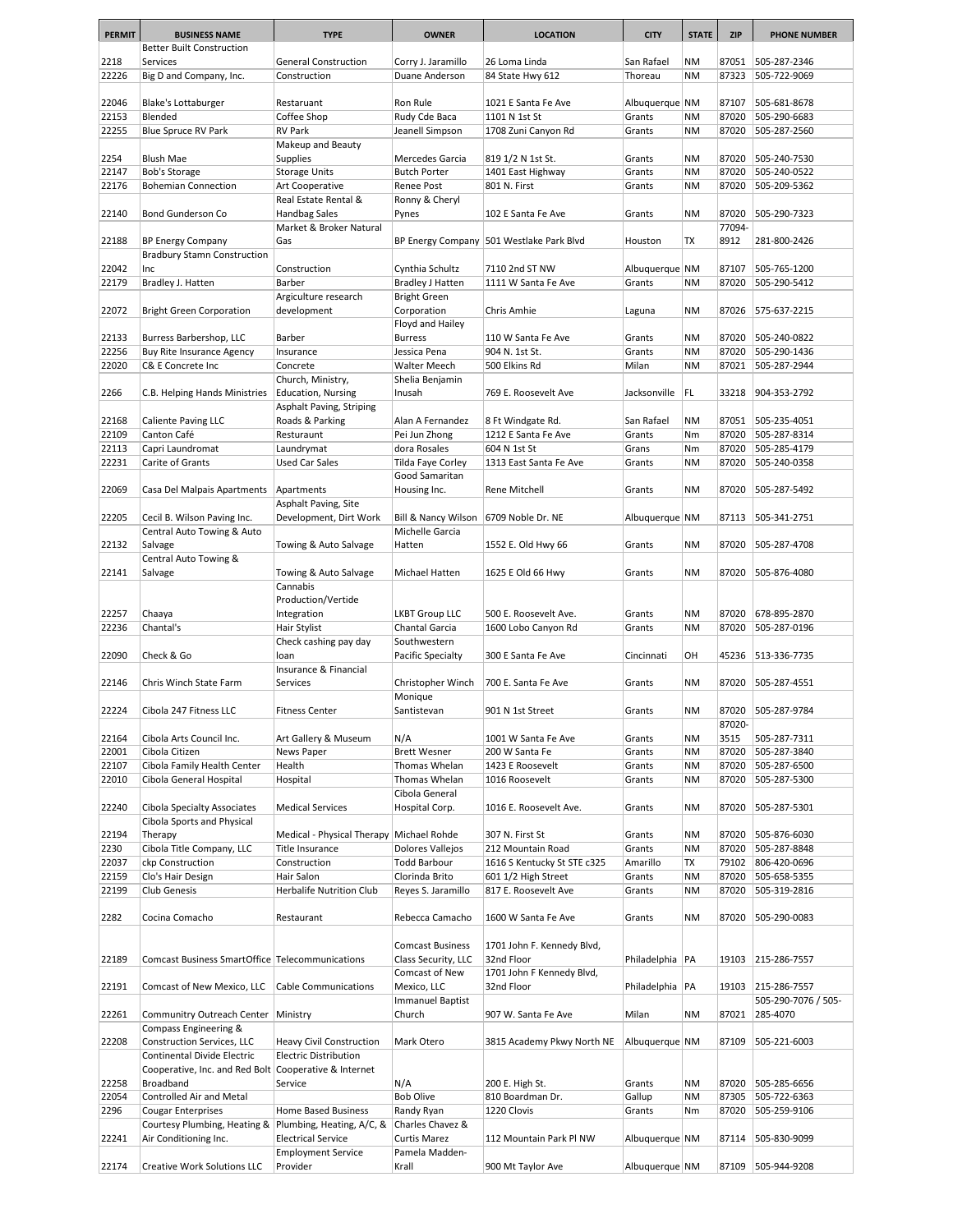| <b>PERMIT</b> | <b>BUSINESS NAME</b>                                               | <b>TYPE</b>                              | <b>OWNER</b>                            | <b>LOCATION</b>                                  | <b>CITY</b>        | <b>STATE</b>    | <b>ZIP</b>     | <b>PHONE NUMBER</b>          |
|---------------|--------------------------------------------------------------------|------------------------------------------|-----------------------------------------|--------------------------------------------------|--------------------|-----------------|----------------|------------------------------|
|               | <b>Better Built Construction</b>                                   |                                          |                                         |                                                  |                    |                 |                |                              |
| 2218          | Services                                                           | <b>General Construction</b>              | Corry J. Jaramillo                      | 26 Loma Linda                                    | San Rafael         | ΝM              | 87051          | 505-287-2346                 |
| 22226         | Big D and Company, Inc.                                            | Construction                             | Duane Anderson                          | 84 State Hwy 612                                 | Thoreau            | <b>NM</b>       | 87323          | 505-722-9069                 |
|               |                                                                    |                                          |                                         |                                                  |                    |                 |                |                              |
| 22046         | Blake's Lottaburger                                                | Restaruant                               | Ron Rule                                | 1021 E Santa Fe Ave                              | Albuquerque NM     |                 | 87107          | 505-681-8678                 |
| 22153         | Blended                                                            | Coffee Shop                              | Rudy Cde Baca                           | 1101 N 1st St                                    | Grants             | <b>NM</b>       | 87020          | 505-290-6683                 |
| 22255         | Blue Spruce RV Park                                                | <b>RV Park</b><br>Makeup and Beauty      | Jeanell Simpson                         | 1708 Zuni Canyon Rd                              | Grants             | <b>NM</b>       | 87020          | 505-287-2560                 |
| 2254          | <b>Blush Mae</b>                                                   | <b>Supplies</b>                          | Mercedes Garcia                         | 819 1/2 N 1st St.                                | Grants             | <b>NM</b>       | 87020          | 505-240-7530                 |
| 22147         | Bob's Storage                                                      | <b>Storage Units</b>                     | <b>Butch Porter</b>                     | 1401 East Highway                                | Grants             | <b>NM</b>       | 87020          | 505-240-0522                 |
| 22176         | <b>Bohemian Connection</b>                                         | Art Cooperative                          | Renee Post                              | 801 N. First                                     | Grants             | <b>NM</b>       | 87020          | 505-209-5362                 |
|               |                                                                    | Real Estate Rental &                     | Ronny & Cheryl                          |                                                  |                    |                 |                |                              |
| 22140         | Bond Gunderson Co                                                  | <b>Handbag Sales</b>                     | Pynes                                   | 102 E Santa Fe Ave                               | Grants             | <b>NM</b>       | 87020          | 505-290-7323                 |
|               |                                                                    | Market & Broker Natural                  |                                         |                                                  |                    |                 | 77094-         |                              |
| 22188         | <b>BP Energy Company</b>                                           | Gas                                      |                                         | BP Energy Company 501 Westlake Park Blvd         | Houston            | TX              | 8912           | 281-800-2426                 |
|               | <b>Bradbury Stamn Construction</b>                                 |                                          |                                         |                                                  |                    |                 |                |                              |
| 22042         | Inc                                                                | Construction                             | Cynthia Schultz                         | 7110 2nd ST NW                                   | Albuquerque NM     |                 | 87107          | 505-765-1200                 |
| 22179         | Bradley J. Hatten                                                  | Barber                                   | <b>Bradley J Hatten</b>                 | 1111 W Santa Fe Ave                              | Grants             | <b>NM</b>       | 87020          | 505-290-5412                 |
| 22072         | <b>Bright Green Corporation</b>                                    | Argiculture research<br>development      | <b>Bright Green</b><br>Corporation      | Chris Amhie                                      |                    | <b>NM</b>       | 87026          | 575-637-2215                 |
|               |                                                                    |                                          | Floyd and Hailey                        |                                                  | Laguna             |                 |                |                              |
| 22133         | Burress Barbershop, LLC                                            | Barber                                   | <b>Burress</b>                          | 110 W Santa Fe Ave                               | Grants             | <b>NM</b>       | 87020          | 505-240-0822                 |
| 22256         | Buy Rite Insurance Agency                                          | Insurance                                | Jessica Pena                            | 904 N. 1st St.                                   | Grants             | <b>NM</b>       | 87020          | 505-290-1436                 |
| 22020         | C& E Concrete Inc                                                  | Concrete                                 | Walter Meech                            | 500 Elkins Rd                                    | Milan              | <b>NM</b>       | 87021          | 505-287-2944                 |
|               |                                                                    | Church, Ministry,                        | Shelia Benjamin                         |                                                  |                    |                 |                |                              |
| 2266          | C.B. Helping Hands Ministries                                      | <b>Education, Nursing</b>                | Inusah                                  | 769 E. Roosevelt Ave                             | Jacksonville       | FL              | 33218          | 904-353-2792                 |
|               |                                                                    | Asphalt Paving, Striping                 |                                         |                                                  |                    |                 |                |                              |
| 22168         | <b>Caliente Paving LLC</b>                                         | Roads & Parking                          | Alan A Fernandez                        | 8 Ft Windgate Rd.                                | San Rafael         | <b>NM</b>       | 87051          | 505-235-4051                 |
| 22109         | Canton Café                                                        | Resturaunt                               | Pei Jun Zhong                           | 1212 E Santa Fe Ave                              | Grants             | Nm              | 87020          | 505-287-8314                 |
| 22113         | Capri Laundromat                                                   | Laundrymat                               | dora Rosales                            | 604 N 1st St                                     | Grans              | Nm              | 87020          | 505-285-4179                 |
| 22231         | Carite of Grants                                                   | <b>Used Car Sales</b>                    | Tilda Faye Corley                       | 1313 East Santa Fe Ave                           | Grants             | <b>NM</b>       | 87020          | 505-240-0358                 |
|               |                                                                    |                                          | Good Samaritan                          |                                                  |                    | <b>NM</b>       |                |                              |
| 22069         | Casa Del Malpais Apartments                                        | Apartments<br>Asphalt Paving, Site       | Housing Inc.                            | Rene Mitchell                                    | Grants             |                 | 87020          | 505-287-5492                 |
| 22205         | Cecil B. Wilson Paving Inc.                                        | Development, Dirt Work                   | Bill & Nancy Wilson                     | 6709 Noble Dr. NE                                | Albuquerque NM     |                 | 87113          | 505-341-2751                 |
|               | Central Auto Towing & Auto                                         |                                          | Michelle Garcia                         |                                                  |                    |                 |                |                              |
| 22132         | Salvage                                                            | Towing & Auto Salvage                    | Hatten                                  | 1552 E. Old Hwy 66                               | Grants             | <b>NM</b>       | 87020          | 505-287-4708                 |
|               | Central Auto Towing &                                              |                                          |                                         |                                                  |                    |                 |                |                              |
| 22141         | Salvage                                                            | Towing & Auto Salvage                    | Michael Hatten                          | 1625 E Old 66 Hwy                                | Grants             | <b>NM</b>       | 87020          | 505-876-4080                 |
|               |                                                                    | Cannabis                                 |                                         |                                                  |                    |                 |                |                              |
|               |                                                                    | Production/Vertide                       |                                         |                                                  |                    |                 |                |                              |
| 22257         | Chaaya                                                             | Integration                              | <b>LKBT Group LLC</b>                   | 500 E. Roosevelt Ave.                            | Grants             | <b>NM</b>       | 87020          | 678-895-2870                 |
| 22236         | Chantal's                                                          | Hair Stylist                             | Chantal Garcia                          | 1600 Lobo Canyon Rd                              | Grants             | <b>NM</b>       | 87020          | 505-287-0196                 |
|               |                                                                    | Check cashing pay day                    | Southwestern                            |                                                  |                    |                 |                |                              |
| 22090         | Check & Go                                                         | loan                                     | Pacific Specialty                       | 300 E Santa Fe Ave                               | Cincinnati         | OН              | 45236          | 513-336-7735                 |
| 22146         | Chris Winch State Farm                                             | Insurance & Financial<br>Services        | Christopher Winch                       | 700 E. Santa Fe Ave                              | Grants             | <b>NM</b>       | 87020          | 505-287-4551                 |
|               |                                                                    |                                          | Monique                                 |                                                  |                    |                 |                |                              |
| 22224         | Cibola 247 Fitness LLC                                             | <b>Fitness Center</b>                    | Santistevan                             | 901 N 1st Street                                 | Grants             | <b>NM</b>       | 87020          | 505-287-9784                 |
|               |                                                                    |                                          |                                         |                                                  |                    |                 | 87020-         |                              |
| 22164         | Cibola Arts Council Inc.                                           | Art Gallery & Museum                     | N/A                                     | 1001 W Santa Fe Ave                              | Grants             | <b>NM</b>       | 3515           | 505-287-7311                 |
| 22001         | Cibola Citizen                                                     | News Paper                               | <b>Brett Wesner</b>                     | 200 W Santa Fe                                   | Grants             | <b>NM</b>       | 87020          | 505-287-3840                 |
| 22107         | Cibola Family Health Center                                        | Health                                   | Thomas Whelan                           | 1423 E Roosevelt                                 | Grants             | <b>NM</b>       | 87020          | 505-287-6500                 |
| 22010         | Cibola General Hospital                                            | Hospital                                 | Thomas Whelan                           | 1016 Roosevelt                                   | Grants             | <b>NM</b>       | 87020          | 505-287-5300                 |
|               |                                                                    |                                          | Cibola General                          |                                                  |                    |                 |                |                              |
| 22240         | <b>Cibola Specialty Associates</b>                                 | <b>Medical Services</b>                  | Hospital Corp.                          | 1016 E. Roosevelt Ave.                           | Grants             | <b>NM</b>       | 87020          | 505-287-5301                 |
|               | Cibola Sports and Physical                                         |                                          |                                         |                                                  |                    |                 |                |                              |
| 22194         | Therapy                                                            | Medical - Physical Therapy Michael Rohde |                                         | 307 N. First St                                  | Grants             | <b>NM</b>       | 87020          | 505-876-6030                 |
| 2230<br>22037 | Cibola Title Company, LLC<br>ckp Construction                      | Title Insurance<br>Construction          | Dolores Vallejos<br><b>Todd Barbour</b> | 212 Mountain Road<br>1616 S Kentucky St STE c325 | Grants<br>Amarillo | <b>NM</b><br>TX | 87020<br>79102 | 505-287-8848<br>806-420-0696 |
| 22159         | Clo's Hair Design                                                  | Hair Salon                               | Clorinda Brito                          | 601 1/2 High Street                              | Grants             | <b>NM</b>       | 87020          | 505-658-5355                 |
| 22199         | <b>Club Genesis</b>                                                | <b>Herbalife Nutrition Club</b>          | Reyes S. Jaramillo                      | 817 E. Roosevelt Ave                             | Grants             | <b>NM</b>       | 87020          | 505-319-2816                 |
|               |                                                                    |                                          |                                         |                                                  |                    |                 |                |                              |
| 2282          | Cocina Comacho                                                     | Restaurant                               | Rebecca Camacho                         | 1600 W Santa Fe Ave                              | Grants             | ΝM              | 87020          | 505-290-0083                 |
|               |                                                                    |                                          |                                         |                                                  |                    |                 |                |                              |
|               |                                                                    |                                          | <b>Comcast Business</b>                 | 1701 John F. Kennedy Blvd,                       |                    |                 |                |                              |
| 22189         | Comcast Business SmartOffice Telecommunications                    |                                          | Class Security, LLC                     | 32nd Floor                                       | Philadelphia   PA  |                 | 19103          | 215-286-7557                 |
|               |                                                                    |                                          | Comcast of New                          | 1701 John F Kennedy Blvd,                        |                    |                 |                |                              |
| 22191         | Comcast of New Mexico, LLC                                         | Cable Communications                     | Mexico, LLC                             | 32nd Floor                                       | Philadelphia   PA  |                 | 19103          | 215-286-7557                 |
|               |                                                                    |                                          | <b>Immanuel Baptist</b>                 |                                                  |                    |                 |                | 505-290-7076 / 505-          |
| 22261         | Communitry Outreach Center   Ministry                              |                                          | Church                                  | 907 W. Santa Fe Ave                              | Milan              | <b>NM</b>       | 87021          | 285-4070                     |
|               | Compass Engineering &                                              |                                          |                                         |                                                  |                    |                 |                |                              |
| 22208         | Construction Services, LLC                                         | Heavy Civil Construction                 | Mark Otero                              | 3815 Academy Pkwy North NE                       | Albuquerque NM     |                 | 87109          | 505-221-6003                 |
|               | Continental Divide Electric                                        | <b>Electric Distribution</b>             |                                         |                                                  |                    |                 |                |                              |
| 22258         | Cooperative, Inc. and Red Bolt Cooperative & Internet<br>Broadband | Service                                  | N/A                                     | 200 E. High St.                                  | Grants             | <b>NM</b>       | 87020          | 505-285-6656                 |
| 22054         | Controlled Air and Metal                                           |                                          | <b>Bob Olive</b>                        | 810 Boardman Dr.                                 | Gallup             | <b>NM</b>       | 87305          | 505-722-6363                 |
| 2296          | <b>Cougar Enterprises</b>                                          | Home Based Business                      | Randy Ryan                              | 1220 Clovis                                      | Grants             | Nm              | 87020          | 505-259-9106                 |
|               | Courtesy Plumbing, Heating & Plumbing, Heating, A/C, &             |                                          | Charles Chavez &                        |                                                  |                    |                 |                |                              |
| 22241         | Air Conditioning Inc.                                              | <b>Electrical Service</b>                | <b>Curtis Marez</b>                     | 112 Mountain Park Pl NW                          | Albuquerque NM     |                 | 87114          | 505-830-9099                 |
|               |                                                                    | <b>Employment Service</b>                | Pamela Madden-                          |                                                  |                    |                 |                |                              |
| 22174         | Creative Work Solutions LLC                                        | Provider                                 | Krall                                   | 900 Mt Taylor Ave                                | Albuquerque NM     |                 | 87109          | 505-944-9208                 |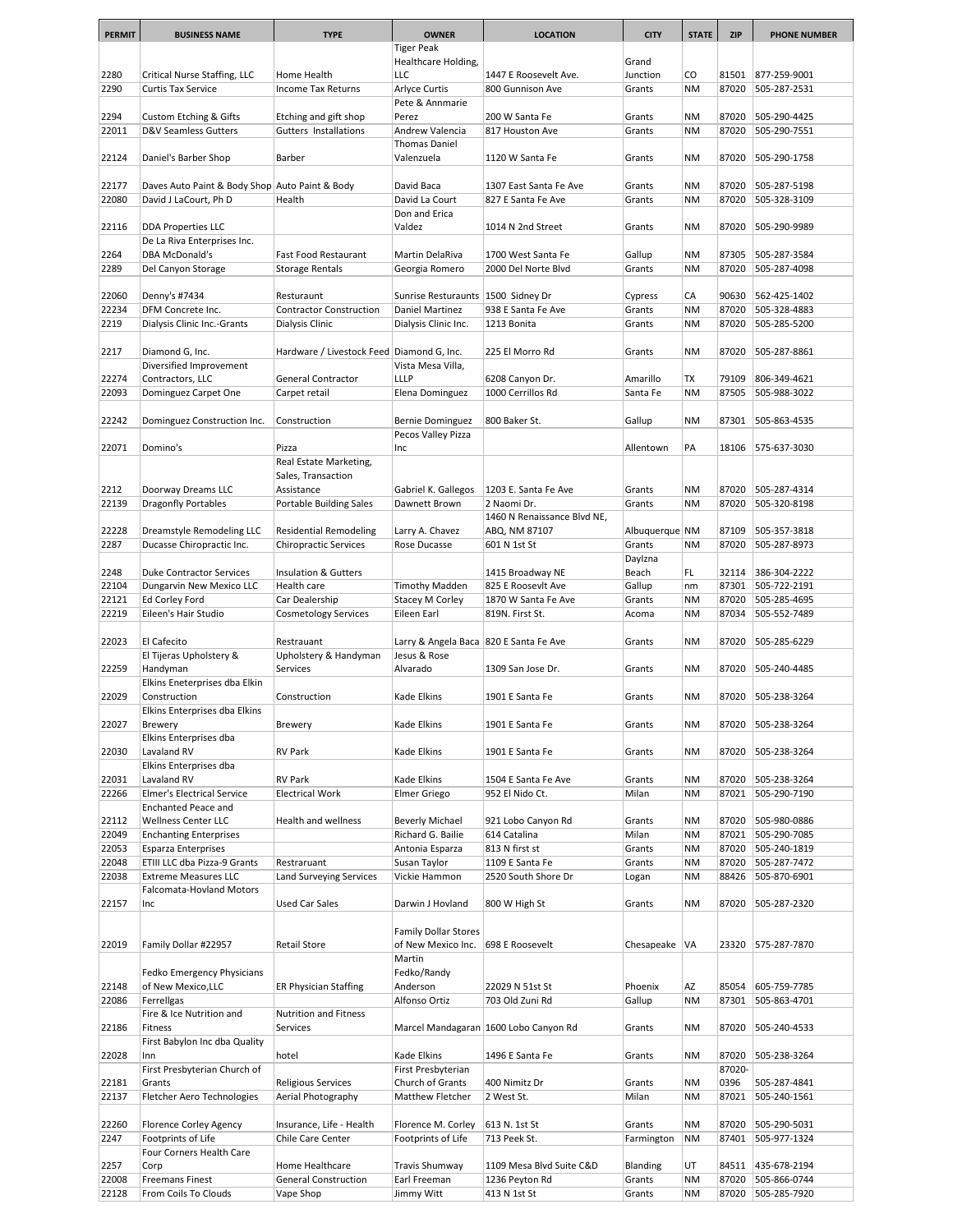| <b>PERMIT</b>  | <b>BUSINESS NAME</b>                                        | <b>TYPE</b>                                    | <b>OWNER</b>                                            | <b>LOCATION</b>                       | <b>CITY</b>      | <b>STATE</b>           | <b>ZIP</b>     | <b>PHONE NUMBER</b>          |
|----------------|-------------------------------------------------------------|------------------------------------------------|---------------------------------------------------------|---------------------------------------|------------------|------------------------|----------------|------------------------------|
|                |                                                             |                                                | <b>Tiger Peak</b>                                       |                                       |                  |                        |                |                              |
|                |                                                             |                                                | Healthcare Holding,                                     |                                       | Grand            |                        |                |                              |
| 2280           | Critical Nurse Staffing, LLC                                | Home Health                                    | LLC                                                     | 1447 E Roosevelt Ave.                 | Junction         | CO                     | 81501          | 877-259-9001                 |
| 2290           | <b>Curtis Tax Service</b>                                   | <b>Income Tax Returns</b>                      | Arlyce Curtis                                           | 800 Gunnison Ave                      | Grants           | <b>NM</b>              | 87020          | 505-287-2531                 |
|                |                                                             |                                                | Pete & Annmarie                                         |                                       |                  |                        |                |                              |
| 2294<br>22011  | Custom Etching & Gifts<br>D&V Seamless Gutters              | Etching and gift shop<br>Gutters Installations | Perez<br>Andrew Valencia                                | 200 W Santa Fe<br>817 Houston Ave     | Grants<br>Grants | <b>NM</b><br><b>NM</b> | 87020<br>87020 | 505-290-4425<br>505-290-7551 |
|                |                                                             |                                                | <b>Thomas Daniel</b>                                    |                                       |                  |                        |                |                              |
| 22124          | Daniel's Barber Shop                                        | Barber                                         | Valenzuela                                              | 1120 W Santa Fe                       | Grants           | <b>NM</b>              | 87020          | 505-290-1758                 |
|                |                                                             |                                                |                                                         |                                       |                  |                        |                |                              |
| 22177          | Daves Auto Paint & Body Shop Auto Paint & Body              |                                                | David Baca                                              | 1307 East Santa Fe Ave                | Grants           | <b>NM</b>              | 87020          | 505-287-5198                 |
| 22080          | David J LaCourt, Ph D                                       | Health                                         | David La Court                                          | 827 E Santa Fe Ave                    | Grants           | <b>NM</b>              | 87020          | 505-328-3109                 |
|                |                                                             |                                                | Don and Erica                                           |                                       |                  |                        |                |                              |
| 22116          | DDA Properties LLC                                          |                                                | Valdez                                                  | 1014 N 2nd Street                     | Grants           | <b>NM</b>              | 87020          | 505-290-9989                 |
|                | De La Riva Enterprises Inc.                                 |                                                |                                                         |                                       |                  |                        |                |                              |
| 2264           | <b>DBA McDonald's</b>                                       | Fast Food Restaurant                           | Martin DelaRiva                                         | 1700 West Santa Fe                    | Gallup           | <b>NM</b>              | 87305          | 505-287-3584                 |
| 2289           | Del Canyon Storage                                          | <b>Storage Rentals</b>                         | Georgia Romero                                          | 2000 Del Norte Blvd                   | Grants           | <b>NM</b>              | 87020          | 505-287-4098                 |
|                |                                                             |                                                |                                                         |                                       |                  |                        |                |                              |
| 22060<br>22234 | Denny's #7434                                               | Resturaunt<br><b>Contractor Construction</b>   | Sunrise Resturaunts   1500 Sidney Dr<br>Daniel Martinez |                                       | Cypress          | CA<br><b>NM</b>        | 90630<br>87020 | 562-425-1402                 |
| 2219           | DFM Concrete Inc.<br>Dialysis Clinic Inc.-Grants            | Dialysis Clinic                                | Dialysis Clinic Inc.                                    | 938 E Santa Fe Ave<br>1213 Bonita     | Grants<br>Grants | <b>NM</b>              | 87020          | 505-328-4883<br>505-285-5200 |
|                |                                                             |                                                |                                                         |                                       |                  |                        |                |                              |
| 2217           | Diamond G, Inc.                                             | Hardware / Livestock Feed Diamond G, Inc.      |                                                         | 225 El Morro Rd                       | Grants           | <b>NM</b>              | 87020          | 505-287-8861                 |
|                | Diversified Improvement                                     |                                                | Vista Mesa Villa,                                       |                                       |                  |                        |                |                              |
| 22274          | Contractors, LLC                                            | <b>General Contractor</b>                      | <b>LLLP</b>                                             | 6208 Canyon Dr.                       | Amarillo         | TX                     | 79109          | 806-349-4621                 |
| 22093          | Dominguez Carpet One                                        | Carpet retail                                  | Elena Dominguez                                         | 1000 Cerrillos Rd                     | Santa Fe         | <b>NM</b>              | 87505          | 505-988-3022                 |
|                |                                                             |                                                |                                                         |                                       |                  |                        |                |                              |
| 22242          | Dominguez Construction Inc.                                 | Construction                                   | Bernie Dominguez                                        | 800 Baker St.                         | Gallup           | <b>NM</b>              | 87301          | 505-863-4535                 |
|                |                                                             |                                                | Pecos Valley Pizza                                      |                                       |                  |                        |                |                              |
| 22071          | Domino's                                                    | Pizza                                          | Inc                                                     |                                       | Allentown        | PA                     | 18106          | 575-637-3030                 |
|                |                                                             | Real Estate Marketing,                         |                                                         |                                       |                  |                        |                |                              |
| 2212           | Doorway Dreams LLC                                          | Sales, Transaction<br>Assistance               | Gabriel K. Gallegos                                     | 1203 E. Santa Fe Ave                  | Grants           | <b>NM</b>              | 87020          | 505-287-4314                 |
| 22139          | Dragonfly Portables                                         | Portable Building Sales                        | Dawnett Brown                                           | 2 Naomi Dr.                           | Grants           | <b>NM</b>              | 87020          | 505-320-8198                 |
|                |                                                             |                                                |                                                         | 1460 N Renaissance Blvd NE,           |                  |                        |                |                              |
| 22228          | Dreamstyle Remodeling LLC                                   | <b>Residential Remodeling</b>                  | Larry A. Chavez                                         | ABQ, NM 87107                         | Albuquerque NM   |                        | 87109          | 505-357-3818                 |
| 2287           | Ducasse Chiropractic Inc.                                   | <b>Chiropractic Services</b>                   | Rose Ducasse                                            | 601 N 1st St                          | Grants           | <b>NM</b>              | 87020          | 505-287-8973                 |
|                |                                                             |                                                |                                                         |                                       | Daylzna          |                        |                |                              |
| 2248           | <b>Duke Contractor Services</b>                             | Insulation & Gutters                           |                                                         | 1415 Broadway NE                      | Beach            | FL.                    | 32114          | 386-304-2222                 |
| 22104          | Dungarvin New Mexico LLC                                    | Health care                                    | <b>Timothy Madden</b>                                   | 825 E Roosevlt Ave                    | Gallup           | nm                     | 87301          | 505-722-2191                 |
| 22121          | Ed Corley Ford                                              | Car Dealership                                 | Stacey M Corley                                         | 1870 W Santa Fe Ave                   | Grants           | <b>NM</b>              | 87020          | 505-285-4695                 |
| 22219          | Eileen's Hair Studio                                        | <b>Cosmetology Services</b>                    | Eileen Earl                                             | 819N. First St.                       | Acoma            | <b>NM</b>              | 87034          | 505-552-7489                 |
|                |                                                             |                                                |                                                         |                                       |                  |                        |                |                              |
| 22023          | El Cafecito                                                 | Restrauant                                     | Larry & Angela Baca 820 E Santa Fe Ave                  |                                       | Grants           | <b>NM</b>              | 87020          | 505-285-6229                 |
| 22259          | El Tijeras Upholstery &<br>Handyman                         | Upholstery & Handyman<br>Services              | Jesus & Rose<br>Alvarado                                | 1309 San Jose Dr.                     | Grants           | <b>NM</b>              | 87020          | 505-240-4485                 |
|                | Elkins Eneterprises dba Elkin                               |                                                |                                                         |                                       |                  |                        |                |                              |
| 22029          | Construction                                                | Construction                                   | Kade Elkins                                             | 1901 E Santa Fe                       | Grants           | <b>NM</b>              | 87020          | 505-238-3264                 |
|                | Elkins Enterprises dba Elkins                               |                                                |                                                         |                                       |                  |                        |                |                              |
| 22027          | Brewery                                                     | <b>Brewery</b>                                 | Kade Elkins                                             | 1901 E Santa Fe                       | Grants           | ΝM                     | 87020          | 505-238-3264                 |
|                | Elkins Enterprises dba                                      |                                                |                                                         |                                       |                  |                        |                |                              |
| 22030          | Lavaland RV                                                 | <b>RV Park</b>                                 | Kade Elkins                                             | 1901 E Santa Fe                       | Grants           | <b>NM</b>              | 87020          | 505-238-3264                 |
|                | Elkins Enterprises dba                                      |                                                |                                                         |                                       |                  |                        |                |                              |
| 22031          | Lavaland RV                                                 | <b>RV Park</b>                                 | Kade Elkins                                             | 1504 E Santa Fe Ave                   | Grants           | ΝM                     | 87020          | 505-238-3264                 |
| 22266          | <b>Elmer's Electrical Service</b>                           | <b>Electrical Work</b>                         | Elmer Griego                                            | 952 El Nido Ct.                       | Milan            | <b>NM</b>              | 87021          | 505-290-7190                 |
|                | <b>Enchanted Peace and</b>                                  |                                                |                                                         |                                       |                  |                        |                |                              |
| 22112          | Wellness Center LLC                                         | Health and wellness                            | <b>Beverly Michael</b>                                  | 921 Lobo Canyon Rd                    | Grants           | <b>NM</b>              | 87020          | 505-980-0886                 |
| 22049<br>22053 | <b>Enchanting Enterprises</b><br><b>Esparza Enterprises</b> |                                                | Richard G. Bailie<br>Antonia Esparza                    | 614 Catalina<br>813 N first st        | Milan<br>Grants  | <b>NM</b><br><b>NM</b> | 87021<br>87020 | 505-290-7085<br>505-240-1819 |
| 22048          | ETIII LLC dba Pizza-9 Grants                                | Restraruant                                    | Susan Taylor                                            | 1109 E Santa Fe                       | Grants           | <b>NM</b>              | 87020          | 505-287-7472                 |
| 22038          | <b>Extreme Measures LLC</b>                                 | Land Surveying Services                        | Vickie Hammon                                           | 2520 South Shore Dr                   | Logan            | <b>NM</b>              | 88426          | 505-870-6901                 |
|                | Falcomata-Hovland Motors                                    |                                                |                                                         |                                       |                  |                        |                |                              |
| 22157          | Inc                                                         | Used Car Sales                                 | Darwin J Hovland                                        | 800 W High St                         | Grants           | <b>NM</b>              | 87020          | 505-287-2320                 |
|                |                                                             |                                                |                                                         |                                       |                  |                        |                |                              |
|                |                                                             |                                                | <b>Family Dollar Stores</b>                             |                                       |                  |                        |                |                              |
| 22019          | Family Dollar #22957                                        | <b>Retail Store</b>                            | of New Mexico Inc.                                      | 698 E Roosevelt                       | Chesapeake   VA  |                        | 23320          | 575-287-7870                 |
|                |                                                             |                                                | Martin                                                  |                                       |                  |                        |                |                              |
|                | Fedko Emergency Physicians                                  |                                                | Fedko/Randy                                             |                                       |                  |                        |                |                              |
| 22148          | of New Mexico,LLC                                           | <b>ER Physician Staffing</b>                   | Anderson                                                | 22029 N 51st St                       | Phoenix          | AZ                     | 85054          | 605-759-7785                 |
| 22086          | Ferrellgas                                                  |                                                | Alfonso Ortiz                                           | 703 Old Zuni Rd                       | Gallup           | <b>NM</b>              | 87301          | 505-863-4701                 |
|                | Fire & Ice Nutrition and                                    | Nutrition and Fitness                          |                                                         |                                       |                  |                        |                |                              |
| 22186          | Fitness                                                     | Services                                       |                                                         | Marcel Mandagaran 1600 Lobo Canyon Rd | Grants           | NM                     | 87020          | 505-240-4533                 |
| 22028          | First Babylon Inc dba Quality                               | hotel                                          |                                                         | 1496 E Santa Fe                       |                  | <b>NM</b>              | 87020          |                              |
|                | Inn<br>First Presbyterian Church of                         |                                                | Kade Elkins<br>First Presbyterian                       |                                       | Grants           |                        | 87020-         | 505-238-3264                 |
| 22181          | Grants                                                      | Religious Services                             | Church of Grants                                        | 400 Nimitz Dr                         | Grants           | <b>NM</b>              | 0396           | 505-287-4841                 |
| 22137          | Fletcher Aero Technologies                                  | Aerial Photography                             | Matthew Fletcher                                        | 2 West St.                            | Milan            | <b>NM</b>              | 87021          | 505-240-1561                 |
|                |                                                             |                                                |                                                         |                                       |                  |                        |                |                              |
| 22260          | Florence Corley Agency                                      | Insurance, Life - Health                       | Florence M. Corley                                      | 613 N. 1st St                         | Grants           | <b>NM</b>              | 87020          | 505-290-5031                 |
| 2247           | Footprints of Life                                          | Chile Care Center                              | Footprints of Life                                      | 713 Peek St.                          | Farmington       | <b>NM</b>              | 87401          | 505-977-1324                 |
|                | Four Corners Health Care                                    |                                                |                                                         |                                       |                  |                        |                |                              |
| 2257           | Corp                                                        | Home Healthcare                                | Travis Shumway                                          | 1109 Mesa Blvd Suite C&D              | Blanding         | UT                     | 84511          | 435-678-2194                 |
| 22008          | <b>Freemans Finest</b>                                      | <b>General Construction</b>                    | Earl Freeman                                            | 1236 Peyton Rd                        | Grants           | <b>NM</b>              | 87020          | 505-866-0744                 |
| 22128          | From Coils To Clouds                                        | Vape Shop                                      | Jimmy Witt                                              | 413 N 1st St                          | Grants           | <b>NM</b>              | 87020          | 505-285-7920                 |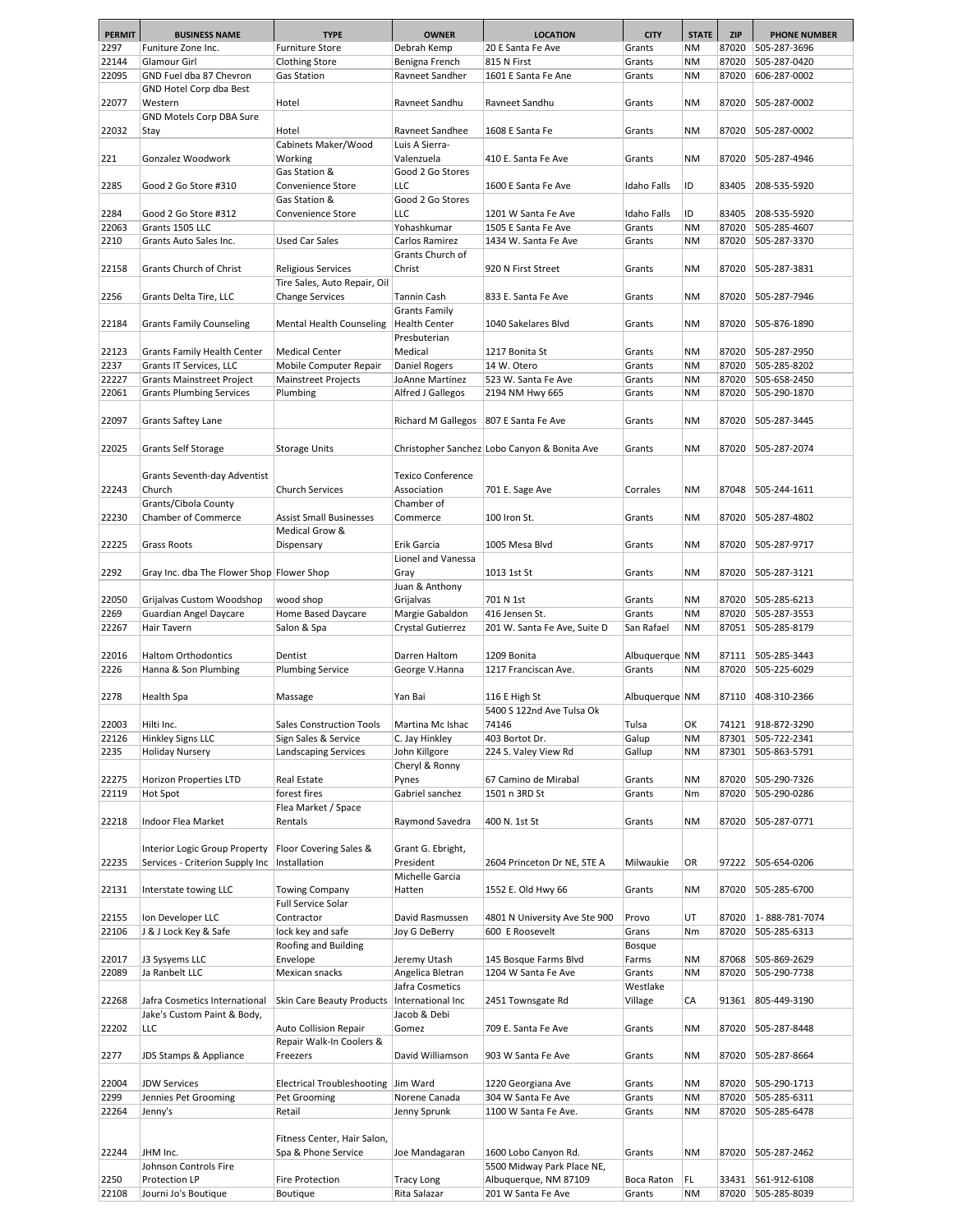| <b>PERMIT</b>  | <b>BUSINESS NAME</b>                                                | <b>TYPE</b>                            | <b>OWNER</b>                            | <b>LOCATION</b>                                     | <b>CITY</b>        | <b>STATE</b>           | <b>ZIP</b>     | <b>PHONE NUMBER</b>          |
|----------------|---------------------------------------------------------------------|----------------------------------------|-----------------------------------------|-----------------------------------------------------|--------------------|------------------------|----------------|------------------------------|
| 2297           | Funiture Zone Inc.                                                  | <b>Furniture Store</b>                 | Debrah Kemp                             | 20 E Santa Fe Ave                                   | Grants             | ΝM                     | 87020          | 505-287-3696                 |
| 22144          | Glamour Girl                                                        | <b>Clothing Store</b>                  | Benigna French                          | 815 N First                                         | Grants             | <b>NM</b>              | 87020          | 505-287-0420                 |
| 22095          | GND Fuel dba 87 Chevron                                             | Gas Station                            | Ravneet Sandher                         | 1601 E Santa Fe Ane                                 | Grants             | ΝM                     | 87020          | 606-287-0002                 |
|                | GND Hotel Corp dba Best                                             |                                        |                                         |                                                     |                    |                        |                |                              |
| 22077          | Western                                                             | Hotel                                  | Ravneet Sandhu                          | Ravneet Sandhu                                      | Grants             | <b>NM</b>              | 87020          | 505-287-0002                 |
|                | GND Motels Corp DBA Sure                                            |                                        |                                         |                                                     |                    |                        |                |                              |
| 22032          | Stay                                                                | Hotel                                  | Ravneet Sandhee                         | 1608 E Santa Fe                                     | Grants             | <b>NM</b>              | 87020          | 505-287-0002                 |
|                |                                                                     | Cabinets Maker/Wood                    | Luis A Sierra-                          |                                                     |                    |                        |                |                              |
| 221            | Gonzalez Woodwork                                                   | Working                                | Valenzuela                              | 410 E. Santa Fe Ave                                 | Grants             | <b>NM</b>              | 87020          | 505-287-4946                 |
|                |                                                                     | Gas Station &                          | Good 2 Go Stores                        |                                                     |                    |                        |                |                              |
| 2285           | Good 2 Go Store #310                                                | Convenience Store                      | LLC                                     | 1600 E Santa Fe Ave                                 | <b>Idaho Falls</b> | ID                     | 83405          | 208-535-5920                 |
|                |                                                                     | Gas Station &                          | Good 2 Go Stores                        |                                                     |                    |                        |                |                              |
| 2284           | Good 2 Go Store #312                                                | Convenience Store                      | LLC                                     | 1201 W Santa Fe Ave                                 | <b>Idaho Falls</b> | ID                     | 83405          | 208-535-5920                 |
| 22063          | Grants 1505 LLC                                                     |                                        | Yohashkumar                             | 1505 E Santa Fe Ave                                 | Grants             | <b>NM</b>              | 87020          | 505-285-4607                 |
| 2210           | Grants Auto Sales Inc.                                              | Used Car Sales                         | Carlos Ramirez                          | 1434 W. Santa Fe Ave                                | Grants             | <b>NM</b>              | 87020          | 505-287-3370                 |
|                |                                                                     |                                        | Grants Church of                        |                                                     |                    |                        |                |                              |
| 22158          | Grants Church of Christ                                             | Religious Services                     | Christ                                  | 920 N First Street                                  | Grants             | ΝM                     | 87020          | 505-287-3831                 |
|                |                                                                     | Tire Sales, Auto Repair, Oil           |                                         |                                                     |                    |                        |                |                              |
| 2256           | Grants Delta Tire, LLC                                              | <b>Change Services</b>                 | <b>Tannin Cash</b>                      | 833 E. Santa Fe Ave                                 | Grants             | <b>NM</b>              | 87020          | 505-287-7946                 |
|                |                                                                     |                                        | <b>Grants Family</b>                    |                                                     |                    |                        |                |                              |
| 22184          | <b>Grants Family Counseling</b>                                     | Mental Health Counseling               | <b>Health Center</b>                    | 1040 Sakelares Blvd                                 | Grants             | <b>NM</b>              | 87020          | 505-876-1890                 |
|                |                                                                     |                                        | Presbuterian                            |                                                     |                    |                        |                |                              |
| 22123          | Grants Family Health Center                                         | <b>Medical Center</b>                  | Medical                                 | 1217 Bonita St                                      | Grants             | <b>NM</b>              | 87020          | 505-287-2950                 |
| 2237           | Grants IT Services, LLC                                             | Mobile Computer Repair                 | Daniel Rogers<br>JoAnne Martinez        | 14 W. Otero                                         | Grants             | <b>NM</b>              | 87020          | 505-285-8202                 |
| 22227<br>22061 | <b>Grants Mainstreet Project</b><br><b>Grants Plumbing Services</b> | <b>Mainstreet Projects</b><br>Plumbing | Alfred J Gallegos                       | 523 W. Santa Fe Ave<br>2194 NM Hwy 665              | Grants<br>Grants   | <b>NM</b><br><b>NM</b> | 87020<br>87020 | 505-658-2450<br>505-290-1870 |
|                |                                                                     |                                        |                                         |                                                     |                    |                        |                |                              |
| 22097          | Grants Saftey Lane                                                  |                                        | Richard M Gallegos   807 E Santa Fe Ave |                                                     | Grants             | <b>NM</b>              | 87020          | 505-287-3445                 |
|                |                                                                     |                                        |                                         |                                                     |                    |                        |                |                              |
| 22025          | <b>Grants Self Storage</b>                                          | <b>Storage Units</b>                   |                                         | Christopher Sanchez Lobo Canyon & Bonita Ave        | Grants             | ΝM                     | 87020          | 505-287-2074                 |
|                |                                                                     |                                        |                                         |                                                     |                    |                        |                |                              |
|                | Grants Seventh-day Adventist                                        |                                        | <b>Texico Conference</b>                |                                                     |                    |                        |                |                              |
| 22243          | Church                                                              | <b>Church Services</b>                 | Association                             | 701 E. Sage Ave                                     | Corrales           | <b>NM</b>              | 87048          | 505-244-1611                 |
|                | Grants/Cibola County                                                |                                        | Chamber of                              |                                                     |                    |                        |                |                              |
| 22230          | Chamber of Commerce                                                 | <b>Assist Small Businesses</b>         | Commerce                                | 100 Iron St.                                        | Grants             | <b>NM</b>              | 87020          | 505-287-4802                 |
|                |                                                                     | Medical Grow &                         |                                         |                                                     |                    |                        |                |                              |
| 22225          | Grass Roots                                                         | Dispensary                             | Erik Garcia                             | 1005 Mesa Blvd                                      | Grants             | <b>NM</b>              | 87020          | 505-287-9717                 |
|                |                                                                     |                                        | Lionel and Vanessa                      |                                                     |                    |                        |                |                              |
| 2292           | Gray Inc. dba The Flower Shop Flower Shop                           |                                        | Gray                                    | 1013 1st St                                         | Grants             | <b>NM</b>              | 87020          | 505-287-3121                 |
|                |                                                                     |                                        | Juan & Anthony                          |                                                     |                    |                        |                |                              |
| 22050          | Grijalvas Custom Woodshop                                           | wood shop                              | Grijalvas                               | 701 N 1st                                           | Grants             | ΝM                     | 87020          | 505-285-6213                 |
| 2269           | Guardian Angel Daycare                                              | Home Based Daycare                     | Margie Gabaldon                         | 416 Jensen St.                                      | Grants             | <b>NM</b>              | 87020          | 505-287-3553                 |
| 22267          | Hair Tavern                                                         | Salon & Spa                            | Crystal Gutierrez                       | 201 W. Santa Fe Ave, Suite D                        | San Rafael         | ΝM                     | 87051          | 505-285-8179                 |
|                |                                                                     |                                        |                                         |                                                     |                    |                        |                |                              |
| 22016          | <b>Haltom Orthodontics</b>                                          | Dentist                                | Darren Haltom                           | 1209 Bonita                                         | Albuquerque NM     |                        | 87111          | 505-285-3443                 |
| 2226           | Hanna & Son Plumbing                                                | <b>Plumbing Service</b>                | George V.Hanna                          | 1217 Franciscan Ave.                                | Grants             | <b>NM</b>              | 87020          | 505-225-6029                 |
|                |                                                                     |                                        |                                         |                                                     |                    |                        |                |                              |
| 2278           | Health Spa                                                          | Massage                                | Yan Bai                                 | 116 E High St                                       | Albuquerque NM     |                        | 87110          | 408-310-2366                 |
|                |                                                                     |                                        |                                         | 5400 S 122nd Ave Tulsa Ok                           |                    |                        |                |                              |
| 22003          | Hilti Inc.                                                          | <b>Sales Construction Tools</b>        | Martina Mc Ishac                        | 74146                                               | Tulsa              | OK                     | 74121          | 918-872-3290                 |
| 22126          | Hinkley Signs LLC<br><b>Holiday Nursery</b>                         | Sign Sales & Service                   | C. Jay Hinkley                          | 403 Bortot Dr.                                      | Galup              | ΝM                     | 87301          | 505-722-2341                 |
| 2235           |                                                                     | Landscaping Services                   | John Killgore                           | 224 S. Valey View Rd                                | Gallup             | ΝM                     | 87301          | 505-863-5791                 |
| 22275          | Horizon Properties LTD                                              | Real Estate                            | Cheryl & Ronny<br>Pynes                 | 67 Camino de Mirabal                                | Grants             | <b>NM</b>              | 87020          | 505-290-7326                 |
| 22119          | Hot Spot                                                            | forest fires                           | Gabriel sanchez                         | 1501 n 3RD St                                       | Grants             | Nm                     | 87020          | 505-290-0286                 |
|                |                                                                     | Flea Market / Space                    |                                         |                                                     |                    |                        |                |                              |
| 22218          | Indoor Flea Market                                                  | Rentals                                | Raymond Savedra                         | 400 N. 1st St                                       | Grants             | NM                     | 87020          | 505-287-0771                 |
|                |                                                                     |                                        |                                         |                                                     |                    |                        |                |                              |
|                | Interior Logic Group Property                                       | Floor Covering Sales &                 | Grant G. Ebright,                       |                                                     |                    |                        |                |                              |
| 22235          | Services - Criterion Supply Inc                                     | Installation                           | President                               | 2604 Princeton Dr NE, STE A                         | Milwaukie          | OR                     | 97222          | 505-654-0206                 |
|                |                                                                     |                                        | Michelle Garcia                         |                                                     |                    |                        |                |                              |
| 22131          | Interstate towing LLC                                               | <b>Towing Company</b>                  | Hatten                                  | 1552 E. Old Hwy 66                                  | Grants             | <b>NM</b>              | 87020          | 505-285-6700                 |
|                |                                                                     | Full Service Solar                     |                                         |                                                     |                    |                        |                |                              |
| 22155          | Ion Developer LLC                                                   | Contractor                             | David Rasmussen                         | 4801 N University Ave Ste 900                       | Provo              | UT                     | 87020          | 1-888-781-7074               |
| 22106          | J & J Lock Key & Safe                                               | lock key and safe                      | Joy G DeBerry                           | 600 E Roosevelt                                     | Grans              | Nm                     | 87020          | 505-285-6313                 |
|                |                                                                     | Roofing and Building                   |                                         |                                                     | <b>Bosque</b>      |                        |                |                              |
| 22017          | J3 Sysyems LLC                                                      | Envelope                               | Jeremy Utash                            | 145 Bosque Farms Blvd                               | Farms              | ΝM                     | 87068          | 505-869-2629                 |
| 22089          | Ja Ranbelt LLC                                                      | Mexican snacks                         | Angelica Bletran                        | 1204 W Santa Fe Ave                                 | Grants             | <b>NM</b>              | 87020          | 505-290-7738                 |
|                |                                                                     |                                        | Jafra Cosmetics                         |                                                     | Westlake           |                        |                |                              |
| 22268          | Jafra Cosmetics International                                       | Skin Care Beauty Products              | International Inc                       | 2451 Townsgate Rd                                   | Village            | СA                     | 91361          | 805-449-3190                 |
|                | Jake's Custom Paint & Body,                                         |                                        | Jacob & Debi                            |                                                     |                    |                        |                |                              |
| 22202          | LLC                                                                 | Auto Collision Repair                  | Gomez                                   | 709 E. Santa Fe Ave                                 | Grants             | ΝM                     | 87020          | 505-287-8448                 |
|                |                                                                     | Repair Walk-In Coolers &               |                                         |                                                     |                    |                        |                |                              |
| 2277           | JDS Stamps & Appliance                                              | Freezers                               | David Williamson                        | 903 W Santa Fe Ave                                  | Grants             | ΝM                     | 87020          | 505-287-8664                 |
|                |                                                                     |                                        |                                         |                                                     |                    |                        |                |                              |
| 22004          | <b>JDW Services</b>                                                 | Electrical Troubleshooting Jim Ward    |                                         | 1220 Georgiana Ave                                  | Grants             | ΝM                     | 87020          | 505-290-1713                 |
| 2299           | Jennies Pet Grooming                                                | Pet Grooming                           | Norene Canada                           | 304 W Santa Fe Ave                                  | Grants             | <b>NM</b>              | 87020          | 505-285-6311                 |
| 22264          | Jenny's                                                             | Retail                                 | Jenny Sprunk                            | 1100 W Santa Fe Ave.                                | Grants             | ΝM                     | 87020          | 505-285-6478                 |
|                |                                                                     |                                        |                                         |                                                     |                    |                        |                |                              |
|                |                                                                     | Fitness Center, Hair Salon,            |                                         |                                                     |                    |                        |                |                              |
| 22244          | JHM Inc.                                                            | Spa & Phone Service                    | Joe Mandagaran                          | 1600 Lobo Canyon Rd.                                | Grants             | <b>NM</b>              | 87020          | 505-287-2462                 |
| 2250           | Johnson Controls Fire<br>Protection LP                              | Fire Protection                        | <b>Tracy Long</b>                       | 5500 Midway Park Place NE,<br>Albuquerque, NM 87109 | Boca Raton         | FL                     | 33431          | 561-912-6108                 |
| 22108          | Journi Jo's Boutique                                                | Boutique                               | Rita Salazar                            | 201 W Santa Fe Ave                                  | Grants             | <b>NM</b>              | 87020          | 505-285-8039                 |
|                |                                                                     |                                        |                                         |                                                     |                    |                        |                |                              |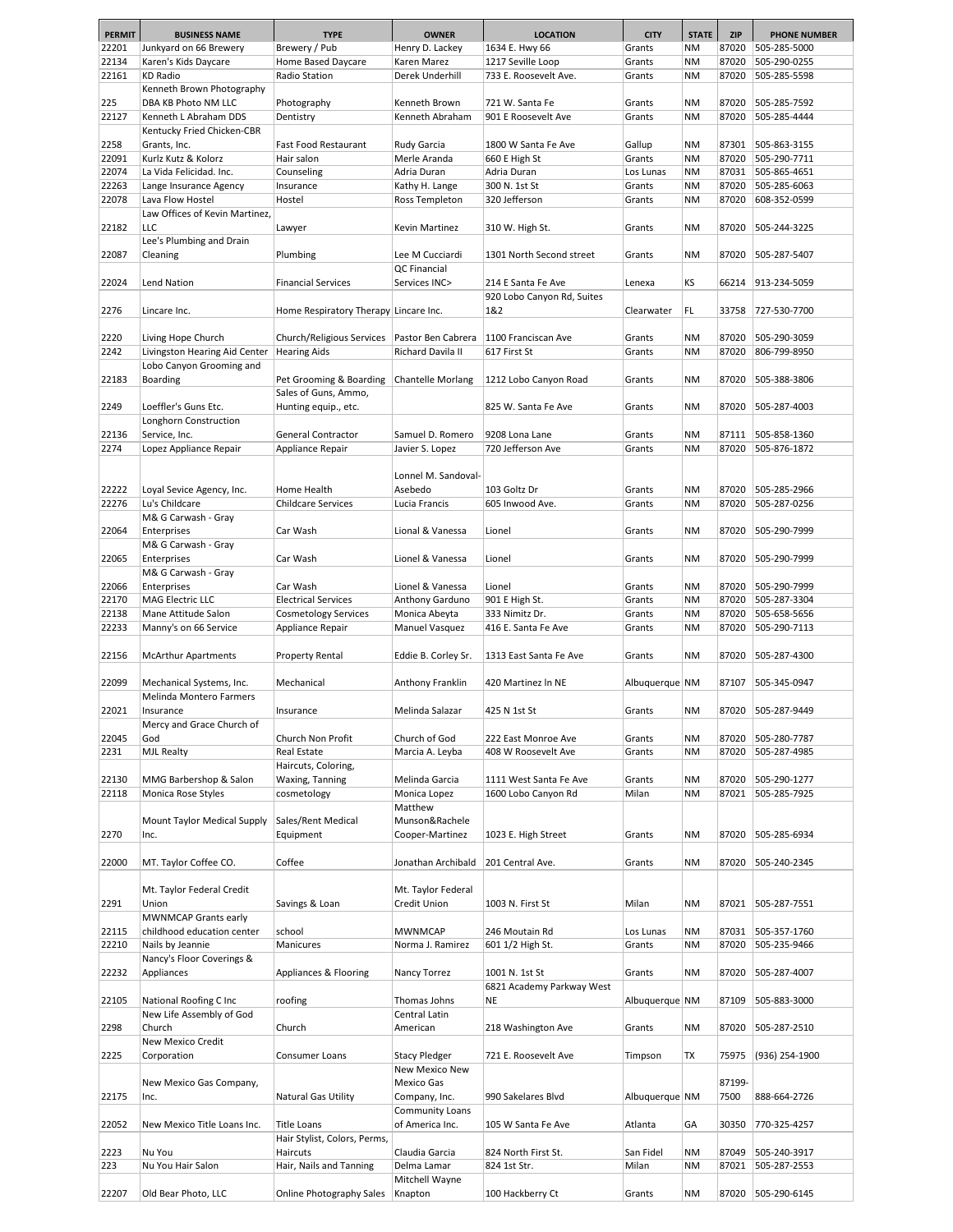| <b>PERMIT</b> | <b>BUSINESS NAME</b>                    | <b>TYPE</b>                           | <b>OWNER</b>             | <b>LOCATION</b>                                  | <b>CITY</b>    | <b>STATE</b> | <b>ZIP</b> | <b>PHONE NUMBER</b> |
|---------------|-----------------------------------------|---------------------------------------|--------------------------|--------------------------------------------------|----------------|--------------|------------|---------------------|
| 22201         | Junkyard on 66 Brewery                  | Brewery / Pub                         | Henry D. Lackey          | 1634 E. Hwy 66                                   | Grants         | <b>NM</b>    | 87020      | 505-285-5000        |
| 22134         | Karen's Kids Daycare                    | Home Based Daycare                    | Karen Marez              | 1217 Seville Loop                                | Grants         | <b>NM</b>    | 87020      | 505-290-0255        |
| 22161         | <b>KD Radio</b>                         | Radio Station                         | Derek Underhill          | 733 E. Roosevelt Ave.                            | Grants         | <b>NM</b>    | 87020      | 505-285-5598        |
|               | Kenneth Brown Photography               |                                       |                          |                                                  |                |              |            |                     |
| 225           | DBA KB Photo NM LLC                     | Photography                           | Kenneth Brown            | 721 W. Santa Fe                                  | Grants         | <b>NM</b>    | 87020      | 505-285-7592        |
| 22127         | Kenneth L Abraham DDS                   | Dentistry                             | Kenneth Abraham          | 901 E Roosevelt Ave                              | Grants         | <b>NM</b>    | 87020      | 505-285-4444        |
|               | Kentucky Fried Chicken-CBR              |                                       |                          |                                                  |                |              |            |                     |
| 2258          | Grants, Inc.                            | Fast Food Restaurant                  | Rudy Garcia              | 1800 W Santa Fe Ave                              | Gallup         | <b>NM</b>    | 87301      | 505-863-3155        |
| 22091         | Kurlz Kutz & Kolorz                     | Hair salon                            | Merle Aranda             | 660 E High St                                    | Grants         | <b>NM</b>    | 87020      | 505-290-7711        |
| 22074         | La Vida Felicidad. Inc.                 | Counseling                            | Adria Duran              | Adria Duran                                      | Los Lunas      | <b>NM</b>    | 87031      | 505-865-4651        |
| 22263         | Lange Insurance Agency                  | Insurance                             | Kathy H. Lange           | 300 N. 1st St                                    | Grants         | <b>NM</b>    | 87020      | 505-285-6063        |
| 22078         | Lava Flow Hostel                        | Hostel                                | Ross Templeton           | 320 Jefferson                                    | Grants         | <b>NM</b>    | 87020      | 608-352-0599        |
|               | Law Offices of Kevin Martinez,          |                                       |                          |                                                  |                |              |            |                     |
| 22182         | LLC                                     | Lawyer                                | Kevin Martinez           | 310 W. High St.                                  | Grants         | <b>NM</b>    | 87020      | 505-244-3225        |
|               | Lee's Plumbing and Drain                |                                       |                          |                                                  |                |              |            |                     |
| 22087         | Cleaning                                | Plumbing                              | Lee M Cucciardi          | 1301 North Second street                         | Grants         | <b>NM</b>    | 87020      | 505-287-5407        |
|               |                                         |                                       | QC Financial             |                                                  |                |              |            |                     |
| 22024         | <b>Lend Nation</b>                      | <b>Financial Services</b>             | Services INC>            | 214 E Santa Fe Ave<br>920 Lobo Canyon Rd, Suites | Lenexa         | ΚS           | 66214      | 913-234-5059        |
| 2276          | Lincare Inc.                            | Home Respiratory Therapy Lincare Inc. |                          | 1&2                                              | Clearwater     | FL           | 33758      | 727-530-7700        |
|               |                                         |                                       |                          |                                                  |                |              |            |                     |
| 2220          | Living Hope Church                      | Church/Religious Services             | Pastor Ben Cabrera       | 1100 Franciscan Ave                              | Grants         | <b>NM</b>    | 87020      | 505-290-3059        |
| 2242          | Livingston Hearing Aid Center           | <b>Hearing Aids</b>                   | Richard Davila II        | 617 First St                                     | Grants         | <b>NM</b>    | 87020      | 806-799-8950        |
|               | Lobo Canyon Grooming and                |                                       |                          |                                                  |                |              |            |                     |
| 22183         | Boarding                                | Pet Grooming & Boarding               | <b>Chantelle Morlang</b> | 1212 Lobo Canyon Road                            | Grants         | <b>NM</b>    | 87020      | 505-388-3806        |
|               |                                         | Sales of Guns, Ammo,                  |                          |                                                  |                |              |            |                     |
| 2249          | Loeffler's Guns Etc.                    | Hunting equip., etc.                  |                          | 825 W. Santa Fe Ave                              | Grants         | <b>NM</b>    | 87020      | 505-287-4003        |
|               | Longhorn Construction                   |                                       |                          |                                                  |                |              |            |                     |
| 22136         | Service, Inc.                           | General Contractor                    | Samuel D. Romero         | 9208 Lona Lane                                   | Grants         | <b>NM</b>    | 87111      | 505-858-1360        |
| 2274          | Lopez Appliance Repair                  | Appliance Repair                      | Javier S. Lopez          | 720 Jefferson Ave                                | Grants         | <b>NM</b>    | 87020      | 505-876-1872        |
|               |                                         |                                       |                          |                                                  |                |              |            |                     |
|               |                                         |                                       | Lonnel M. Sandoval-      |                                                  |                |              |            |                     |
| 22222         | Loyal Sevice Agency, Inc.               | Home Health                           | Asebedo                  | 103 Goltz Dr                                     | Grants         | <b>NM</b>    | 87020      | 505-285-2966        |
| 22276         | Lu's Childcare                          | <b>Childcare Services</b>             | Lucia Francis            | 605 Inwood Ave.                                  | Grants         | <b>NM</b>    | 87020      | 505-287-0256        |
|               | M& G Carwash - Gray                     |                                       |                          |                                                  |                |              |            |                     |
| 22064         | Enterprises                             | Car Wash                              | Lional & Vanessa         | Lionel                                           | Grants         | <b>NM</b>    | 87020      | 505-290-7999        |
|               | M& G Carwash - Gray                     |                                       |                          |                                                  |                |              |            |                     |
| 22065         | Enterprises                             | Car Wash                              | Lionel & Vanessa         | Lionel                                           | Grants         | <b>NM</b>    | 87020      | 505-290-7999        |
|               | M& G Carwash - Gray                     |                                       |                          |                                                  |                |              |            |                     |
| 22066         | Enterprises                             | Car Wash                              | Lionel & Vanessa         | Lionel                                           | Grants         | <b>NM</b>    | 87020      | 505-290-7999        |
| 22170         | <b>MAG Electric LLC</b>                 | <b>Electrical Services</b>            | Anthony Garduno          | 901 E High St.                                   | Grants         | <b>NM</b>    | 87020      | 505-287-3304        |
| 22138         | Mane Attitude Salon                     | Cosmetology Services                  | Monica Abeyta            | 333 Nimitz Dr.                                   | Grants         | <b>NM</b>    | 87020      | 505-658-5656        |
| 22233         | Manny's on 66 Service                   | Appliance Repair                      | Manuel Vasquez           | 416 E. Santa Fe Ave                              | Grants         | <b>NM</b>    | 87020      | 505-290-7113        |
|               |                                         |                                       |                          | 1313 East Santa Fe Ave                           |                |              |            |                     |
| 22156         | <b>McArthur Apartments</b>              | Property Rental                       | Eddie B. Corley Sr.      |                                                  | Grants         | <b>NM</b>    | 87020      | 505-287-4300        |
| 22099         | Mechanical Systems, Inc.                | Mechanical                            | Anthony Franklin         | 420 Martinez In NE                               | Albuquerque NM |              | 87107      | 505-345-0947        |
|               | Melinda Montero Farmers                 |                                       |                          |                                                  |                |              |            |                     |
| 22021         | Insurance                               | Insurance                             | Melinda Salazar          | 425 N 1st St                                     | Grants         | <b>NM</b>    |            | 87020 505-287-9449  |
|               | Mercy and Grace Church of               |                                       |                          |                                                  |                |              |            |                     |
| 22045         | God                                     | Church Non Profit                     | Church of God            | 222 East Monroe Ave                              | Grants         | <b>NM</b>    | 87020      | 505-280-7787        |
| 2231          | <b>MJL Realty</b>                       | Real Estate                           | Marcia A. Leyba          | 408 W Roosevelt Ave                              | Grants         | <b>NM</b>    | 87020      | 505-287-4985        |
|               |                                         | Haircuts, Coloring,                   |                          |                                                  |                |              |            |                     |
| 22130         | MMG Barbershop & Salon                  | Waxing, Tanning                       | Melinda Garcia           | 1111 West Santa Fe Ave                           | Grants         | <b>NM</b>    | 87020      | 505-290-1277        |
| 22118         | Monica Rose Styles                      | cosmetology                           | Monica Lopez             | 1600 Lobo Canyon Rd                              | Milan          | <b>NM</b>    | 87021      | 505-285-7925        |
|               |                                         |                                       | Matthew                  |                                                  |                |              |            |                     |
|               | Mount Taylor Medical Supply             | Sales/Rent Medical                    | Munson&Rachele           |                                                  |                |              |            |                     |
| 2270          | Inc.                                    | Equipment                             | Cooper-Martinez          | 1023 E. High Street                              | Grants         | <b>NM</b>    | 87020      | 505-285-6934        |
|               |                                         |                                       |                          |                                                  |                |              |            |                     |
| 22000         | MT. Taylor Coffee CO.                   | Coffee                                | Jonathan Archibald       | 201 Central Ave.                                 | Grants         | <b>NM</b>    | 87020      | 505-240-2345        |
|               |                                         |                                       |                          |                                                  |                |              |            |                     |
|               | Mt. Taylor Federal Credit               |                                       | Mt. Taylor Federal       |                                                  |                |              |            |                     |
| 2291          | Union                                   | Savings & Loan                        | Credit Union             | 1003 N. First St                                 | Milan          | <b>NM</b>    |            | 87021 505-287-7551  |
|               | <b>MWNMCAP Grants early</b>             |                                       |                          |                                                  |                |              |            |                     |
| 22115         | childhood education center              | school                                | <b>MWNMCAP</b>           | 246 Moutain Rd                                   | Los Lunas      | <b>NM</b>    | 87031      | 505-357-1760        |
| 22210         | Nails by Jeannie                        | Manicures                             | Norma J. Ramirez         | 601 1/2 High St.                                 | Grants         | <b>NM</b>    | 87020      | 505-235-9466        |
| 22232         | Nancy's Floor Coverings &<br>Appliances | Appliances & Flooring                 | Nancy Torrez             | 1001 N. 1st St                                   | Grants         | ΝM           | 87020      | 505-287-4007        |
|               |                                         |                                       |                          | 6821 Academy Parkway West                        |                |              |            |                     |
| 22105         | National Roofing C Inc                  | roofing                               | Thomas Johns             | <b>NE</b>                                        | Albuquerque NM |              | 87109      | 505-883-3000        |
|               | New Life Assembly of God                |                                       | Central Latin            |                                                  |                |              |            |                     |
| 2298          | Church                                  | Church                                | American                 | 218 Washington Ave                               | Grants         | ΝM           | 87020      | 505-287-2510        |
|               | New Mexico Credit                       |                                       |                          |                                                  |                |              |            |                     |
| 2225          | Corporation                             | Consumer Loans                        | <b>Stacy Pledger</b>     | 721 E. Roosevelt Ave                             | Timpson        | TX           | 75975      | (936) 254-1900      |
|               |                                         |                                       | New Mexico New           |                                                  |                |              |            |                     |
|               | New Mexico Gas Company,                 |                                       | Mexico Gas               |                                                  |                |              | 87199-     |                     |
| 22175         | Inc.                                    | Natural Gas Utility                   | Company, Inc.            | 990 Sakelares Blvd                               | Albuquerque NM |              | 7500       | 888-664-2726        |
|               |                                         |                                       | Community Loans          |                                                  |                |              |            |                     |
| 22052         | New Mexico Title Loans Inc.             | <b>Title Loans</b>                    | of America Inc.          | 105 W Santa Fe Ave                               | Atlanta        | GА           | 30350      | 770-325-4257        |
|               |                                         | Hair Stylist, Colors, Perms,          |                          |                                                  |                |              |            |                     |
| 2223          | Nu You                                  | Haircuts                              | Claudia Garcia           | 824 North First St.                              | San Fidel      | <b>NM</b>    | 87049      | 505-240-3917        |
| 223           | Nu You Hair Salon                       | Hair, Nails and Tanning               | Delma Lamar              | 824 1st Str.                                     | Milan          | <b>NM</b>    | 87021      | 505-287-2553        |
|               |                                         |                                       | Mitchell Wayne           |                                                  |                |              |            |                     |
| 22207         | Old Bear Photo, LLC                     | Online Photography Sales              | Knapton                  | 100 Hackberry Ct                                 | Grants         | <b>NM</b>    | 87020      | 505-290-6145        |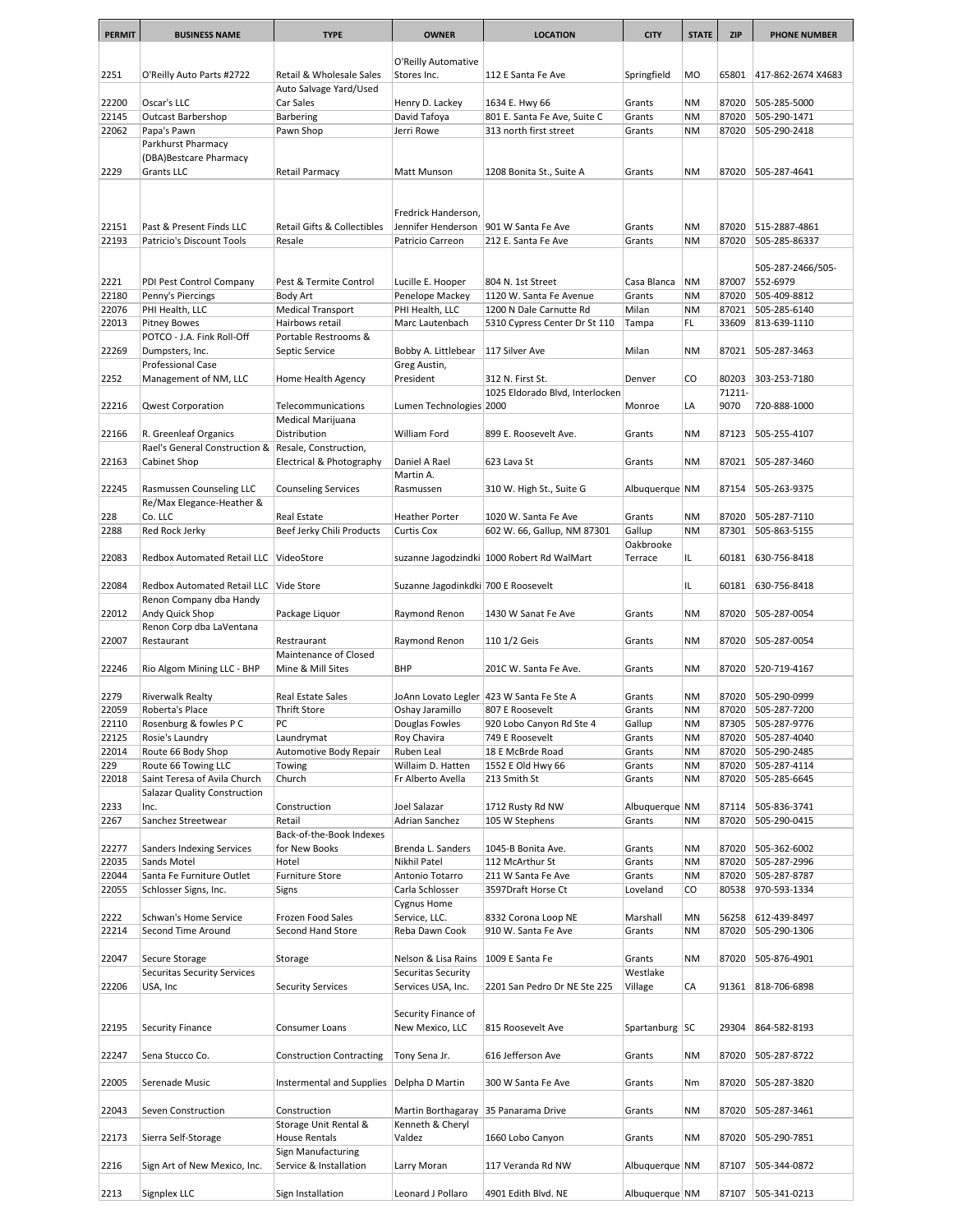| <b>PERMIT</b>  | <b>BUSINESS NAME</b>                                         | <b>TYPE</b>                                | <b>OWNER</b>                         | <b>LOCATION</b>                                     | <b>CITY</b>        | <b>STATE</b>           | <b>ZIP</b>     | <b>PHONE NUMBER</b>          |
|----------------|--------------------------------------------------------------|--------------------------------------------|--------------------------------------|-----------------------------------------------------|--------------------|------------------------|----------------|------------------------------|
|                |                                                              |                                            |                                      |                                                     |                    |                        |                |                              |
|                |                                                              |                                            | O'Reilly Automative                  |                                                     |                    |                        |                |                              |
| 2251           | O'Reilly Auto Parts #2722                                    | Retail & Wholesale Sales                   | Stores Inc.                          | 112 E Santa Fe Ave                                  | Springfield        | <b>MO</b>              | 65801          | 417-862-2674 X4683           |
|                |                                                              | Auto Salvage Yard/Used                     |                                      |                                                     |                    |                        |                |                              |
| 22200<br>22145 | Oscar's LLC<br><b>Outcast Barbershop</b>                     | Car Sales<br>Barbering                     | Henry D. Lackey<br>David Tafoya      | 1634 E. Hwy 66<br>801 E. Santa Fe Ave, Suite C      | Grants<br>Grants   | <b>NM</b><br><b>NM</b> | 87020<br>87020 | 505-285-5000<br>505-290-1471 |
| 22062          | Papa's Pawn                                                  | Pawn Shop                                  | Jerri Rowe                           | 313 north first street                              | Grants             | <b>NM</b>              | 87020          | 505-290-2418                 |
|                | Parkhurst Pharmacy                                           |                                            |                                      |                                                     |                    |                        |                |                              |
|                | (DBA)Bestcare Pharmacy                                       |                                            |                                      |                                                     |                    |                        |                |                              |
| 2229           | <b>Grants LLC</b>                                            | Retail Parmacy                             | Matt Munson                          | 1208 Bonita St., Suite A                            | Grants             | <b>NM</b>              | 87020          | 505-287-4641                 |
|                |                                                              |                                            |                                      |                                                     |                    |                        |                |                              |
|                |                                                              |                                            |                                      |                                                     |                    |                        |                |                              |
|                |                                                              |                                            | Fredrick Handerson,                  |                                                     |                    |                        |                |                              |
| 22151          | Past & Present Finds LLC<br>Patricio's Discount Tools        | <b>Retail Gifts &amp; Collectibles</b>     | Jennifer Henderson                   | 901 W Santa Fe Ave                                  | Grants             | <b>NM</b>              | 87020          | 515-2887-4861                |
| 22193          |                                                              | Resale                                     | Patricio Carreon                     | 212 E. Santa Fe Ave                                 | Grants             | <b>NM</b>              | 87020          | 505-285-86337                |
|                |                                                              |                                            |                                      |                                                     |                    |                        |                | 505-287-2466/505-            |
| 2221           | PDI Pest Control Company                                     | Pest & Termite Control                     | Lucille E. Hooper                    | 804 N. 1st Street                                   | Casa Blanca        | <b>NM</b>              | 87007          | 552-6979                     |
| 22180          | Penny's Piercings                                            | <b>Body Art</b>                            | Penelope Mackey                      | 1120 W. Santa Fe Avenue                             | Grants             | <b>NM</b>              | 87020          | 505-409-8812                 |
| 22076          | PHI Health, LLC                                              | <b>Medical Transport</b>                   | PHI Health, LLC                      | 1200 N Dale Carnutte Rd                             | Milan              | <b>NM</b>              | 87021          | 505-285-6140                 |
| 22013          | <b>Pitney Bowes</b>                                          | Hairbows retail                            | Marc Lautenbach                      | 5310 Cypress Center Dr St 110                       | Tampa              | FL.                    | 33609          | 813-639-1110                 |
|                | POTCO - J.A. Fink Roll-Off                                   | Portable Restrooms &                       |                                      |                                                     |                    |                        |                |                              |
| 22269          | Dumpsters, Inc.                                              | Septic Service                             | Bobby A. Littlebear                  | 117 Silver Ave                                      | Milan              | <b>NM</b>              | 87021          | 505-287-3463                 |
|                | Professional Case                                            | Home Health Agency                         | Greg Austin,<br>President            |                                                     |                    | CO                     | 80203          |                              |
| 2252           | Management of NM, LLC                                        |                                            |                                      | 312 N. First St.<br>1025 Eldorado Blvd, Interlocken | Denver             |                        | 71211-         | 303-253-7180                 |
| 22216          | <b>Qwest Corporation</b>                                     | Telecommunications                         | Lumen Technologies 2000              |                                                     | Monroe             | LA                     | 9070           | 720-888-1000                 |
|                |                                                              | Medical Marijuana                          |                                      |                                                     |                    |                        |                |                              |
| 22166          | R. Greenleaf Organics                                        | Distribution                               | William Ford                         | 899 E. Roosevelt Ave.                               | Grants             | <b>NM</b>              | 87123          | 505-255-4107                 |
|                | Rael's General Construction & Resale, Construction,          |                                            |                                      |                                                     |                    |                        |                |                              |
| 22163          | Cabinet Shop                                                 | Electrical & Photography                   | Daniel A Rael                        | 623 Lava St                                         | Grants             | <b>NM</b>              | 87021          | 505-287-3460                 |
|                |                                                              |                                            | Martin A.                            |                                                     |                    |                        |                |                              |
| 22245          | Rasmussen Counseling LLC                                     | <b>Counseling Services</b>                 | Rasmussen                            | 310 W. High St., Suite G                            | Albuquerque   NM   |                        | 87154          | 505-263-9375                 |
|                | Re/Max Elegance-Heather &                                    |                                            |                                      |                                                     |                    |                        |                |                              |
| 228<br>2288    | Co. LLC<br>Red Rock Jerky                                    | Real Estate<br>Beef Jerky Chili Products   | <b>Heather Porter</b><br>Curtis Cox  | 1020 W. Santa Fe Ave<br>602 W. 66, Gallup, NM 87301 | Grants<br>Gallup   | ΝM<br><b>NM</b>        | 87020<br>87301 | 505-287-7110<br>505-863-5155 |
|                |                                                              |                                            |                                      |                                                     | Oakbrooke          |                        |                |                              |
| 22083          | Redbox Automated Retail LLC VideoStore                       |                                            |                                      | suzanne Jagodzindki   1000 Robert Rd WalMart        | Terrace            | IL.                    | 60181          | 630-756-8418                 |
|                |                                                              |                                            |                                      |                                                     |                    |                        |                |                              |
| 22084          | Redbox Automated Retail LLC Vide Store                       |                                            | Suzanne Jagodinkdki 700 E Roosevelt  |                                                     |                    | IL.                    | 60181          | 630-756-8418                 |
|                | Renon Company dba Handy                                      |                                            |                                      |                                                     |                    |                        |                |                              |
| 22012          | Andy Quick Shop                                              | Package Liquor                             | Raymond Renon                        | 1430 W Sanat Fe Ave                                 | Grants             | <b>NM</b>              | 87020          | 505-287-0054                 |
|                | Renon Corp dba LaVentana                                     |                                            |                                      |                                                     |                    |                        |                |                              |
| 22007          | Restaurant                                                   | Restraurant                                | Raymond Renon                        | 110 1/2 Geis                                        | Grants             | <b>NM</b>              | 87020          | 505-287-0054                 |
| 22246          | Rio Algom Mining LLC - BHP                                   | Maintenance of Closed<br>Mine & Mill Sites | <b>BHP</b>                           | 201C W. Santa Fe Ave.                               | Grants             | <b>NM</b>              | 87020          | 520-719-4167                 |
|                |                                                              |                                            |                                      |                                                     |                    |                        |                |                              |
| 2279           | <b>Riverwalk Realty</b>                                      | Real Estate Sales                          |                                      | JoAnn Lovato Legler   423 W Santa Fe Ste A          | Grants             | <b>NM</b>              | 87020          | 505-290-0999                 |
| 22059          | Roberta's Place                                              | <b>Thrift Store</b>                        | Oshay Jaramillo                      | 807 E Roosevelt                                     | Grants             | <b>NM</b>              | 87020          | 505-287-7200                 |
| 22110          | Rosenburg & fowles P C                                       | PC                                         | Douglas Fowles                       | 920 Lobo Canyon Rd Ste 4                            | Gallup             | <b>NM</b>              | 87305          | 505-287-9776                 |
| 22125          | Rosie's Laundry                                              | Laundrymat                                 | Roy Chavira                          | 749 E Roosevelt                                     | Grants             | <b>NM</b>              | 87020          | 505-287-4040                 |
| 22014          | Route 66 Body Shop                                           | Automotive Body Repair                     | Ruben Leal                           | 18 E McBrde Road                                    | Grants             | <b>NM</b>              | 87020          | 505-290-2485                 |
| 229            | Route 66 Towing LLC                                          | Towing                                     | Willaim D. Hatten                    | 1552 E Old Hwy 66                                   | Grants             | <b>NM</b>              | 87020          | 505-287-4114                 |
| 22018          | Saint Teresa of Avila Church<br>Salazar Quality Construction | Church                                     | Fr Alberto Avella                    | 213 Smith St                                        | Grants             | <b>NM</b>              | 87020          | 505-285-6645                 |
| 2233           | Inc.                                                         | Construction                               | Joel Salazar                         | 1712 Rusty Rd NW                                    | Albuquerque NM     |                        | 87114          | 505-836-3741                 |
| 2267           | Sanchez Streetwear                                           | Retail                                     | Adrian Sanchez                       | 105 W Stephens                                      | Grants             | <b>NM</b>              | 87020          | 505-290-0415                 |
|                |                                                              | Back-of-the-Book Indexes                   |                                      |                                                     |                    |                        |                |                              |
| 22277          | <b>Sanders Indexing Services</b>                             | for New Books                              | Brenda L. Sanders                    | 1045-B Bonita Ave.                                  | Grants             | ΝM                     | 87020          | 505-362-6002                 |
| 22035          | Sands Motel                                                  | Hotel                                      | Nikhil Patel                         | 112 McArthur St                                     | Grants             | <b>NM</b>              | 87020          | 505-287-2996                 |
| 22044          | Santa Fe Furniture Outlet                                    | Furniture Store                            | Antonio Totarro                      | 211 W Santa Fe Ave                                  | Grants             | NM                     | 87020          | 505-287-8787                 |
| 22055          | Schlosser Signs, Inc.                                        | Signs                                      | Carla Schlosser                      | 3597Draft Horse Ct                                  | Loveland           | CO                     | 80538          | 970-593-1334                 |
|                |                                                              |                                            | Cygnus Home                          |                                                     |                    |                        |                |                              |
| 2222<br>22214  | Schwan's Home Service<br>Second Time Around                  | Frozen Food Sales<br>Second Hand Store     | Service, LLC.<br>Reba Dawn Cook      | 8332 Corona Loop NE<br>910 W. Santa Fe Ave          | Marshall<br>Grants | MN<br><b>NM</b>        | 56258<br>87020 | 612-439-8497<br>505-290-1306 |
|                |                                                              |                                            |                                      |                                                     |                    |                        |                |                              |
| 22047          | Secure Storage                                               | Storage                                    | Nelson & Lisa Rains                  | 1009 E Santa Fe                                     | Grants             | <b>NM</b>              | 87020          | 505-876-4901                 |
|                | <b>Securitas Security Services</b>                           |                                            | Securitas Security                   |                                                     | Westlake           |                        |                |                              |
| 22206          | USA, Inc                                                     | <b>Security Services</b>                   | Services USA, Inc.                   | 2201 San Pedro Dr NE Ste 225                        | Village            | CA                     | 91361          | 818-706-6898                 |
|                |                                                              |                                            |                                      |                                                     |                    |                        |                |                              |
|                |                                                              |                                            | Security Finance of                  |                                                     |                    |                        |                |                              |
| 22195          | <b>Security Finance</b>                                      | Consumer Loans                             | New Mexico, LLC                      | 815 Roosevelt Ave                                   | Spartanburg SC     |                        | 29304          | 864-582-8193                 |
|                |                                                              |                                            |                                      |                                                     |                    |                        |                |                              |
| 22247          | Sena Stucco Co.                                              | <b>Construction Contracting</b>            | Tony Sena Jr.                        | 616 Jefferson Ave                                   | Grants             | <b>NM</b>              | 87020          | 505-287-8722                 |
| 22005          | Serenade Music                                               | Instermental and Supplies                  | Delpha D Martin                      | 300 W Santa Fe Ave                                  | Grants             | Nm                     | 87020          | 505-287-3820                 |
|                |                                                              |                                            |                                      |                                                     |                    |                        |                |                              |
| 22043          | Seven Construction                                           | Construction                               | Martin Borthagaray 35 Panarama Drive |                                                     | Grants             | <b>NM</b>              | 87020          | 505-287-3461                 |
|                |                                                              | Storage Unit Rental &                      | Kenneth & Cheryl                     |                                                     |                    |                        |                |                              |
| 22173          | Sierra Self-Storage                                          | House Rentals                              | Valdez                               | 1660 Lobo Canyon                                    | Grants             | <b>NM</b>              | 87020          | 505-290-7851                 |
|                |                                                              | Sign Manufacturing                         |                                      |                                                     |                    |                        |                |                              |
| 2216           | Sign Art of New Mexico, Inc.                                 | Service & Installation                     | Larry Moran                          | 117 Veranda Rd NW                                   | Albuquerque NM     |                        | 87107          | 505-344-0872                 |
|                | Signplex LLC                                                 |                                            |                                      |                                                     |                    |                        | 87107          |                              |
| 2213           |                                                              | Sign Installation                          | Leonard J Pollaro                    | 4901 Edith Blvd. NE                                 | Albuquerque NM     |                        |                | 505-341-0213                 |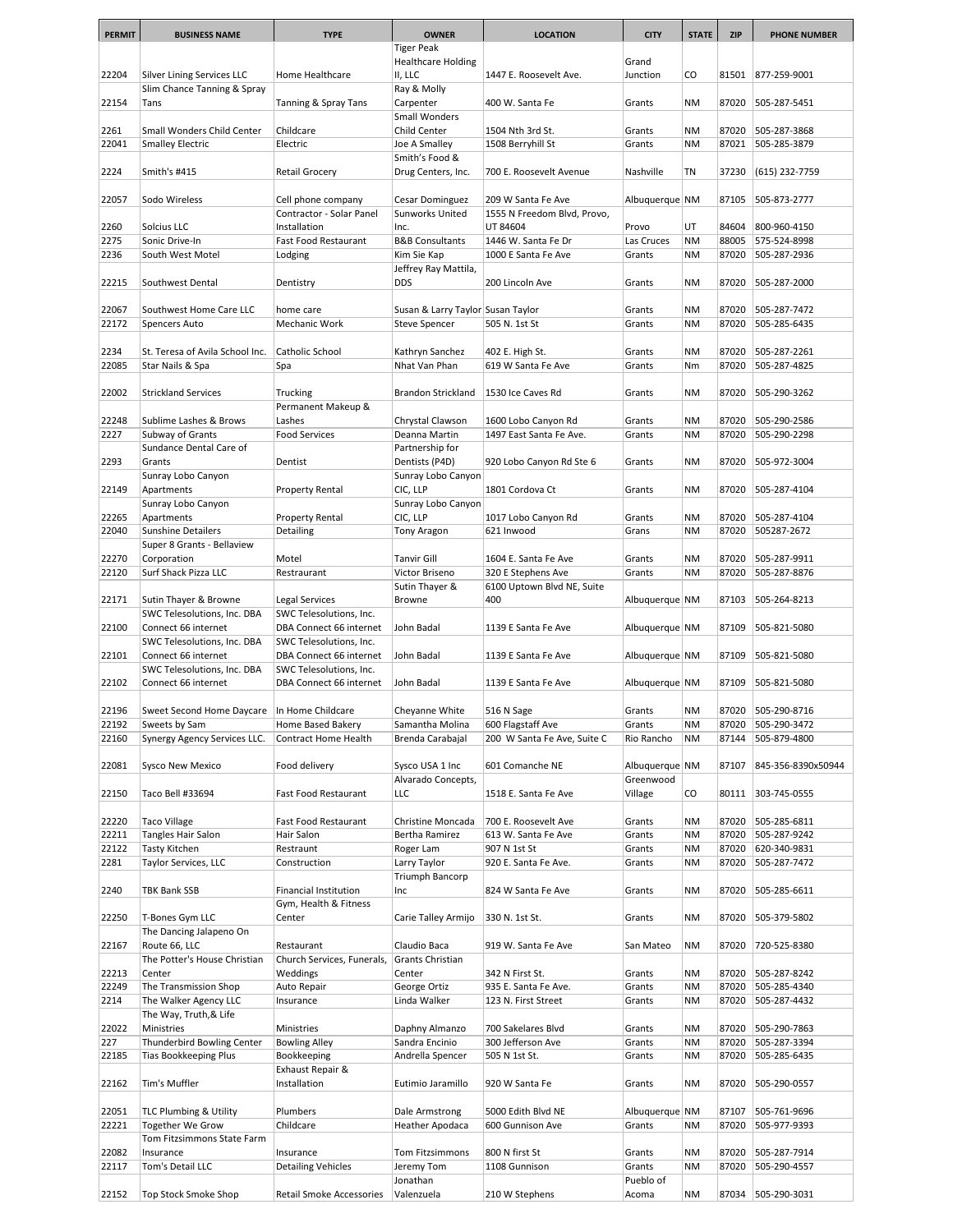| <b>PERMIT</b>  | <b>BUSINESS NAME</b>                                  | <b>TYPE</b>                                        | <b>OWNER</b>                       | <b>LOCATION</b>                         | <b>CITY</b>      | <b>STATE</b>           | <b>ZIP</b>     | <b>PHONE NUMBER</b>          |
|----------------|-------------------------------------------------------|----------------------------------------------------|------------------------------------|-----------------------------------------|------------------|------------------------|----------------|------------------------------|
|                |                                                       |                                                    | <b>Tiger Peak</b>                  |                                         |                  |                        |                |                              |
|                |                                                       |                                                    | <b>Healthcare Holding</b>          |                                         | Grand            |                        |                |                              |
| 22204          | Silver Lining Services LLC                            | Home Healthcare                                    | II, LLC                            | 1447 E. Roosevelt Ave.                  | Junction         | CO                     | 81501          | 877-259-9001                 |
| 22154          | Slim Chance Tanning & Spray<br>Tans                   | Tanning & Spray Tans                               | Ray & Molly<br>Carpenter           | 400 W. Santa Fe                         | Grants           | <b>NM</b>              | 87020          | 505-287-5451                 |
|                |                                                       |                                                    | Small Wonders                      |                                         |                  |                        |                |                              |
| 2261           | Small Wonders Child Center                            | Childcare                                          | Child Center                       | 1504 Nth 3rd St.                        | Grants           | <b>NM</b>              | 87020          | 505-287-3868                 |
| 22041          | <b>Smalley Electric</b>                               | Electric                                           | Joe A Smalley                      | 1508 Berryhill St                       | Grants           | <b>NM</b>              | 87021          | 505-285-3879                 |
|                |                                                       |                                                    | Smith's Food &                     |                                         |                  |                        |                |                              |
| 2224           | Smith's #415                                          | Retail Grocery                                     | Drug Centers, Inc.                 | 700 E. Roosevelt Avenue                 | Nashville        | TN                     | 37230          | (615) 232-7759               |
| 22057          | Sodo Wireless                                         | Cell phone company                                 | Cesar Dominguez                    | 209 W Santa Fe Ave                      | Albuquerque NM   |                        | 87105          | 505-873-2777                 |
|                |                                                       | Contractor - Solar Panel                           | Sunworks United                    | 1555 N Freedom Blvd, Provo,             |                  |                        |                |                              |
| 2260           | Solcius LLC                                           | Installation                                       | Inc.                               | UT 84604                                | Provo            | UT                     | 84604          | 800-960-4150                 |
| 2275           | Sonic Drive-In                                        | Fast Food Restaurant                               | <b>B&amp;B Consultants</b>         | 1446 W. Santa Fe Dr                     | Las Cruces       | <b>NM</b>              | 88005          | 575-524-8998                 |
| 2236           | South West Motel                                      | Lodging                                            | Kim Sie Kap                        | 1000 E Santa Fe Ave                     | Grants           | <b>NM</b>              | 87020          | 505-287-2936                 |
| 22215          | Southwest Dental                                      | Dentistry                                          | Jeffrey Ray Mattila,<br><b>DDS</b> | 200 Lincoln Ave                         | Grants           | NΜ                     | 87020          | 505-287-2000                 |
|                |                                                       |                                                    |                                    |                                         |                  |                        |                |                              |
| 22067          | Southwest Home Care LLC                               | home care                                          | Susan & Larry Taylor Susan Taylor  |                                         | Grants           | ΝM                     | 87020          | 505-287-7472                 |
| 22172          | Spencers Auto                                         | Mechanic Work                                      | Steve Spencer                      | 505 N. 1st St                           | Grants           | <b>NM</b>              | 87020          | 505-285-6435                 |
|                |                                                       |                                                    |                                    |                                         |                  |                        |                |                              |
| 2234<br>22085  | St. Teresa of Avila School Inc.                       | Catholic School<br>Spa                             | Kathryn Sanchez<br>Nhat Van Phan   | 402 E. High St.<br>619 W Santa Fe Ave   | Grants<br>Grants | <b>NM</b><br>Nm        | 87020<br>87020 | 505-287-2261<br>505-287-4825 |
|                | Star Nails & Spa                                      |                                                    |                                    |                                         |                  |                        |                |                              |
| 22002          | <b>Strickland Services</b>                            | Trucking                                           | Brandon Strickland                 | 1530 Ice Caves Rd                       | Grants           | <b>NM</b>              | 87020          | 505-290-3262                 |
|                |                                                       | Permanent Makeup &                                 |                                    |                                         |                  |                        |                |                              |
| 22248          | Sublime Lashes & Brows                                | Lashes                                             | Chrystal Clawson                   | 1600 Lobo Canyon Rd                     | Grants           | <b>NM</b>              | 87020          | 505-290-2586                 |
| 2227           | Subway of Grants                                      | <b>Food Services</b>                               | Deanna Martin                      | 1497 East Santa Fe Ave.                 | Grants           | <b>NM</b>              | 87020          | 505-290-2298                 |
| 2293           | Sundance Dental Care of<br>Grants                     | Dentist                                            | Partnership for<br>Dentists (P4D)  | 920 Lobo Canyon Rd Ste 6                | Grants           | <b>NM</b>              | 87020          | 505-972-3004                 |
|                | Sunray Lobo Canyon                                    |                                                    | Sunray Lobo Canyon                 |                                         |                  |                        |                |                              |
| 22149          | Apartments                                            | Property Rental                                    | CIC, LLP                           | 1801 Cordova Ct                         | Grants           | <b>NM</b>              | 87020          | 505-287-4104                 |
|                | Sunray Lobo Canyon                                    |                                                    | Sunray Lobo Canyon                 |                                         |                  |                        |                |                              |
| 22265          | Apartments                                            | Property Rental                                    | CIC, LLP                           | 1017 Lobo Canyon Rd                     | Grants           | <b>NM</b>              | 87020          | 505-287-4104                 |
| 22040          | <b>Sunshine Detailers</b>                             | Detailing                                          | Tony Aragon                        | 621 Inwood                              | Grans            | <b>NM</b>              | 87020          | 505287-2672                  |
| 22270          | Super 8 Grants - Bellaview                            | Motel                                              | <b>Tanvir Gill</b>                 | 1604 E. Santa Fe Ave                    |                  | <b>NM</b>              | 87020          | 505-287-9911                 |
| 22120          | Corporation<br>Surf Shack Pizza LLC                   | Restraurant                                        | Victor Briseno                     | 320 E Stephens Ave                      | Grants<br>Grants | <b>NM</b>              | 87020          | 505-287-8876                 |
|                |                                                       |                                                    | Sutin Thayer &                     | 6100 Uptown Blvd NE, Suite              |                  |                        |                |                              |
| 22171          | Sutin Thayer & Browne                                 | Legal Services                                     | Browne                             | 400                                     | Albuquerque NM   |                        | 87103          | 505-264-8213                 |
|                | SWC Telesolutions, Inc. DBA                           | SWC Telesolutions, Inc.                            |                                    |                                         |                  |                        |                |                              |
| 22100          | Connect 66 internet                                   | DBA Connect 66 internet                            | John Badal                         | 1139 E Santa Fe Ave                     | Albuquerque NM   |                        | 87109          | 505-821-5080                 |
| 22101          | SWC Telesolutions, Inc. DBA<br>Connect 66 internet    | SWC Telesolutions, Inc.<br>DBA Connect 66 internet | John Badal                         | 1139 E Santa Fe Ave                     | Albuquerque NM   |                        | 87109          | 505-821-5080                 |
|                | SWC Telesolutions, Inc. DBA                           | SWC Telesolutions, Inc.                            |                                    |                                         |                  |                        |                |                              |
| 22102          | Connect 66 internet                                   | DBA Connect 66 internet                            | John Badal                         | 1139 E Santa Fe Ave                     | Albuquerque NM   |                        | 87109          | 505-821-5080                 |
|                |                                                       |                                                    |                                    |                                         |                  |                        |                |                              |
| 22196          | Sweet Second Home Daycare   In Home Childcare         |                                                    | Cheyanne White                     | 516 N Sage                              | Grants           | <b>NM</b>              | 87020          | 505-290-8716                 |
| 22192          | Sweets by Sam                                         | Home Based Bakery                                  | Samantha Molina                    | 600 Flagstaff Ave                       | Grants           | <b>NM</b>              | 87020          | 505-290-3472                 |
| 22160          | Synergy Agency Services LLC.                          | Contract Home Health                               | Brenda Carabajal                   | 200 W Santa Fe Ave, Suite C             | Rio Rancho       | <b>NM</b>              | 87144          | 505-879-4800                 |
| 22081          | <b>Sysco New Mexico</b>                               | Food delivery                                      | Sysco USA 1 Inc                    | 601 Comanche NE                         | Albuquerque NM   |                        | 87107          | 845-356-8390x50944           |
|                |                                                       |                                                    | Alvarado Concepts,                 |                                         | Greenwood        |                        |                |                              |
| 22150          | Taco Bell #33694                                      | Fast Food Restaurant                               | <b>LLC</b>                         | 1518 E. Santa Fe Ave                    | Village          | CO                     | 80111          | 303-745-0555                 |
|                |                                                       |                                                    |                                    |                                         |                  |                        |                |                              |
| 22220          | <b>Taco Village</b>                                   | Fast Food Restaurant                               | Christine Moncada                  | 700 E. Roosevelt Ave                    | Grants           | NM                     | 87020          | 505-285-6811                 |
| 22211<br>22122 | Tangles Hair Salon<br>Tasty Kitchen                   | Hair Salon<br>Restraunt                            | Bertha Ramirez<br>Roger Lam        | 613 W. Santa Fe Ave<br>907 N 1st St     | Grants<br>Grants | <b>NM</b><br><b>NM</b> | 87020<br>87020 | 505-287-9242<br>620-340-9831 |
| 2281           | Taylor Services, LLC                                  | Construction                                       | Larry Taylor                       | 920 E. Santa Fe Ave.                    | Grants           | NM                     | 87020          | 505-287-7472                 |
|                |                                                       |                                                    | Triumph Bancorp                    |                                         |                  |                        |                |                              |
| 2240           | <b>TBK Bank SSB</b>                                   | <b>Financial Institution</b>                       | Inc                                | 824 W Santa Fe Ave                      | Grants           | ΝM                     | 87020          | 505-285-6611                 |
|                |                                                       | Gym, Health & Fitness                              |                                    |                                         |                  |                        |                |                              |
| 22250          | T-Bones Gym LLC                                       | Center                                             | Carie Talley Armijo                | 330 N. 1st St.                          | Grants           | <b>NM</b>              | 87020          | 505-379-5802                 |
| 22167          | The Dancing Jalapeno On<br>Route 66, LLC              | Restaurant                                         | Claudio Baca                       | 919 W. Santa Fe Ave                     | San Mateo        | <b>NM</b>              | 87020          | 720-525-8380                 |
|                | The Potter's House Christian                          | Church Services, Funerals,                         | Grants Christian                   |                                         |                  |                        |                |                              |
| 22213          | Center                                                | Weddings                                           | Center                             | 342 N First St.                         | Grants           | NM                     | 87020          | 505-287-8242                 |
| 22249          | The Transmission Shop                                 | Auto Repair                                        | George Ortiz                       | 935 E. Santa Fe Ave.                    | Grants           | <b>NM</b>              | 87020          | 505-285-4340                 |
| 2214           | The Walker Agency LLC                                 | Insurance                                          | Linda Walker                       | 123 N. First Street                     | Grants           | <b>NM</b>              | 87020          | 505-287-4432                 |
|                | The Way, Truth, & Life                                |                                                    |                                    |                                         |                  |                        |                |                              |
| 22022<br>227   | Ministries<br>Thunderbird Bowling Center              | Ministries<br><b>Bowling Alley</b>                 | Daphny Almanzo<br>Sandra Encinio   | 700 Sakelares Blvd<br>300 Jefferson Ave | Grants<br>Grants | ΝM<br><b>NM</b>        | 87020<br>87020 | 505-290-7863<br>505-287-3394 |
| 22185          | <b>Tias Bookkeeping Plus</b>                          | Bookkeeping                                        | Andrella Spencer                   | 505 N 1st St.                           | Grants           | ΝM                     | 87020          | 505-285-6435                 |
|                |                                                       | Exhaust Repair &                                   |                                    |                                         |                  |                        |                |                              |
| 22162          | Tim's Muffler                                         | Installation                                       | Eutimio Jaramillo                  | 920 W Santa Fe                          | Grants           | ΝM                     | 87020          | 505-290-0557                 |
|                |                                                       |                                                    |                                    |                                         |                  |                        |                |                              |
| 22051          | <b>TLC Plumbing &amp; Utility</b>                     | Plumbers                                           | Dale Armstrong                     | 5000 Edith Blvd NE                      | Albuquerque NM   |                        | 87107          | 505-761-9696                 |
| 22221          | <b>Together We Grow</b><br>Tom Fitzsimmons State Farm | Childcare                                          | Heather Apodaca                    | 600 Gunnison Ave                        | Grants           | ΝM                     | 87020          | 505-977-9393                 |
| 22082          | Insurance                                             | Insurance                                          | Tom Fitzsimmons                    | 800 N first St                          | Grants           | <b>NM</b>              | 87020          | 505-287-7914                 |
| 22117          | Tom's Detail LLC                                      | <b>Detailing Vehicles</b>                          | Jeremy Tom                         | 1108 Gunnison                           | Grants           | ΝM                     | 87020          | 505-290-4557                 |
|                |                                                       |                                                    | Jonathan                           |                                         | Pueblo of        |                        |                |                              |
| 22152          | Top Stock Smoke Shop                                  | Retail Smoke Accessories                           | Valenzuela                         | 210 W Stephens                          | Acoma            | ΝM                     | 87034          | 505-290-3031                 |